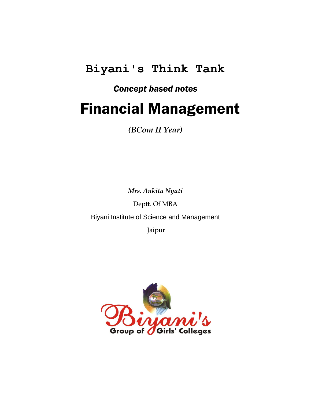# **Biyani's Think Tank**

# *Concept based notes*

# Financial Management

*(BCom II Year)*

*Mrs. Ankita Nyati*

Deptt. Of MBA

Biyani Institute of Science and Management

Jaipur

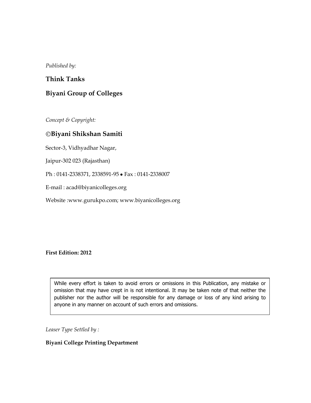*Published by:*

## **Think Tanks**

# **Biyani Group of Colleges**

*Concept & Copyright:*

### **Biyani Shikshan Samiti**

Sector-3, Vidhyadhar Nagar,

Jaipur-302 023 (Rajasthan)

Ph: 0141-2338371, 2338591-95 • Fax: 0141-2338007

E-mail : acad@biyanicolleges.org

Website :www.gurukpo.com; www.biyanicolleges.org

**First Edition: 2012**

While every effort is taken to avoid errors or omissions in this Publication, any mistake or omission that may have crept in is not intentional. It may be taken note of that neither the publisher nor the author will be responsible for any damage or loss of any kind arising to anyone in any manner on account of such errors and omissions.

*Leaser Type Settled by :*

#### **Biyani College Printing Department**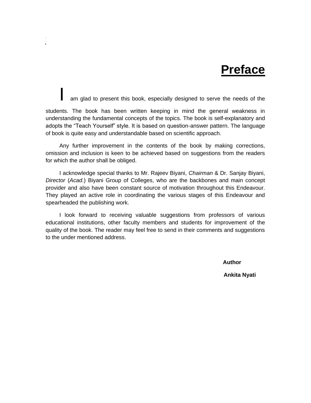# **Preface**

am glad to present this book, especially designed to serve the needs of the

**Financial Management 3**

students. The book has been written keeping in mind the general weakness in understanding the fundamental concepts of the topics. The book is self-explanatory and adopts the "Teach Yourself" style. It is based on question-answer pattern. The language of book is quite easy and understandable based on scientific approach.

Any further improvement in the contents of the book by making corrections, omission and inclusion is keen to be achieved based on suggestions from the readers for which the author shall be obliged.

I acknowledge special thanks to Mr. Rajeev Biyani, *Chairman* & Dr. Sanjay Biyani, *Director* (*Acad.*) Biyani Group of Colleges, who are the backbones and main concept provider and also have been constant source of motivation throughout this Endeavour. They played an active role in coordinating the various stages of this Endeavour and spearheaded the publishing work.

I look forward to receiving valuable suggestions from professors of various educational institutions, other faculty members and students for improvement of the quality of the book. The reader may feel free to send in their comments and suggestions to the under mentioned address.

*Author* **Author** 

**Ankita Nyati**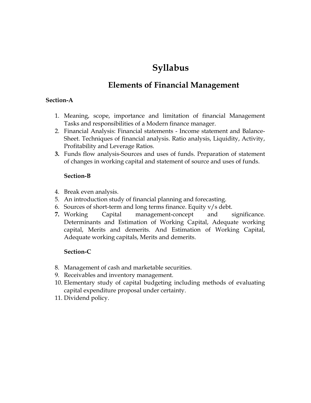# **Syllabus**

# **Elements of Financial Management**

## **Section-A**

- 1. Meaning, scope, importance and limitation of financial Management Tasks and responsibilities of a Modern finance manager.
- 2. Financial Analysis: Financial statements Income statement and Balance-Sheet. Techniques of financial analysis. Ratio analysis, Liquidity, Activity, Profitability and Leverage Ratios.
- **3.** Funds flow analysis-Sources and uses of funds. Preparation of statement of changes in working capital and statement of source and uses of funds.

# **Section-B**

- 4. Break even analysis.
- 5. An introduction study of financial planning and forecasting.
- 6. Sources of short-term and long terms finance. Equity  $v/s$  debt.
- **7.** Working Capital management-concept and significance. Determinants and Estimation of Working Capital, Adequate working capital, Merits and demerits. And Estimation of Working Capital, Adequate working capitals, Merits and demerits.

# **Section-C**

- 8. Management of cash and marketable securities.
- 9. Receivables and inventory management.
- 10. Elementary study of capital budgeting including methods of evaluating capital expenditure proposal under certainty.
- 11. Dividend policy.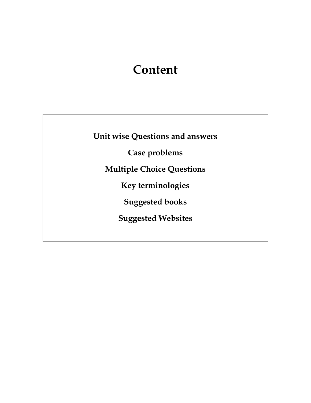# **Content**

**Unit wise Questions and answers**

**Case problems**

**Multiple Choice Questions**

**Key terminologies**

**Suggested books**

**Suggested Websites**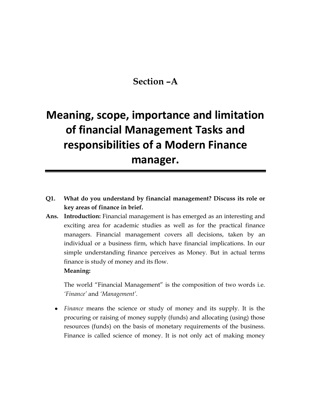# **Section –A**

# **Meaning, scope, importance and limitation of financial Management Tasks and responsibilities of a Modern Finance manager.**

- **Q1. What do you understand by financial management? Discuss its role or key areas of finance in brief.**
- **Ans. Introduction:** Financial management is has emerged as an interesting and exciting area for academic studies as well as for the practical finance managers. Financial management covers all decisions, taken by an individual or a business firm, which have financial implications. In our simple understanding finance perceives as Money. But in actual terms finance is study of money and its flow.

#### **Meaning:**

The world "Financial Management" is the composition of two words i.e. *'Finance'* and *'Management'.*

*Finance* means the science or study of money and its supply. It is the procuring or raising of money supply (funds) and allocating (using) those resources (funds) on the basis of monetary requirements of the business. Finance is called science of money. It is not only act of making money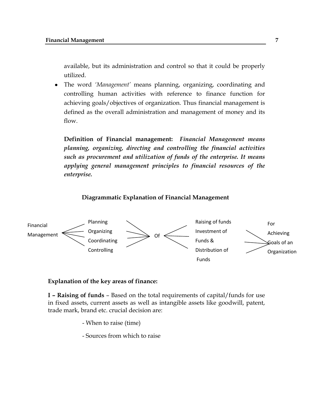available, but its administration and control so that it could be properly utilized.

The word *'Management'* means planning, organizing, coordinating and  $\bullet$ controlling human activities with reference to finance function for achieving goals/objectives of organization. Thus financial management is defined as the overall administration and management of money and its flow.

**Definition of Financial management:** *Financial Management means planning, organizing, directing and controlling the financial activities such as procurement and utilization of funds of the enterprise. It means applying general management principles to financial resources of the enterprise.*

#### **Diagrammatic Explanation of Financial Management**



#### **Explanation of the key areas of finance:**

**I – Raising of funds** – Based on the total requirements of capital/funds for use in fixed assets, current assets as well as intangible assets like goodwill, patent, trade mark, brand etc. crucial decision are:

- When to raise (time)
- Sources from which to raise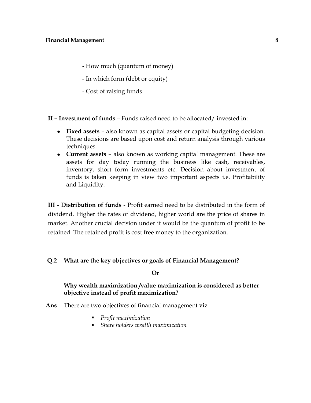- How much (quantum of money)
- In which form (debt or equity)
- Cost of raising funds
- **II – Investment of funds** Funds raised need to be allocated/ invested in:
	- **Fixed assets** also known as capital assets or capital budgeting decision. These decisions are based upon cost and return analysis through various techniques
	- **Current assets** also known as working capital management. These are assets for day today running the business like cash, receivables, inventory, short form investments etc. Decision about investment of funds is taken keeping in view two important aspects i.e. Profitability and Liquidity.

**III - Distribution of funds** - Profit earned need to be distributed in the form of dividend. Higher the rates of dividend, higher world are the price of shares in market. Another crucial decision under it would be the quantum of profit to be retained. The retained profit is cost free money to the organization.

#### **Q.2 What are the key objectives or goals of Financial Management?**

**Or** 

### **Why wealth maximization /value maximization is considered as better objective instead of profit maximization?**

- **Ans** There are two objectives of financial management viz
	- *Profit maximization*
	- *Share holders wealth maximization*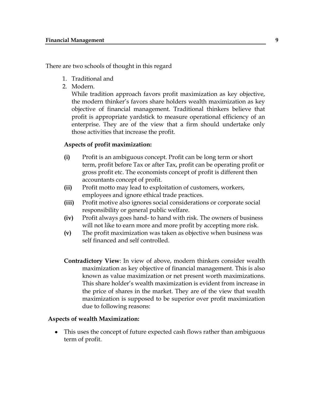There are two schools of thought in this regard

- 1. Traditional and
- 2. Modern.

While tradition approach favors profit maximization as key objective, the modern thinker"s favors share holders wealth maximization as key objective of financial management. Traditional thinkers believe that profit is appropriate yardstick to measure operational efficiency of an enterprise. They are of the view that a firm should undertake only those activities that increase the profit.

#### **Aspects of profit maximization:**

- **(i)** Profit is an ambiguous concept. Profit can be long term or short term, profit before Tax or after Tax, profit can be operating profit or gross profit etc. The economists concept of profit is different then accountants concept of profit.
- **(ii)** Profit motto may lead to exploitation of customers, workers, employees and ignore ethical trade practices.
- **(iii)** Profit motive also ignores social considerations or corporate social responsibility or general public welfare.
- **(iv)** Profit always goes hand- to hand with risk. The owners of business will not like to earn more and more profit by accepting more risk.
- **(v)** The profit maximization was taken as objective when business was self financed and self controlled.
- **Contradictory View**: In view of above, modern thinkers consider wealth maximization as key objective of financial management. This is also known as value maximization or net present worth maximizations. This share holder"s wealth maximization is evident from increase in the price of shares in the market. They are of the view that wealth maximization is supposed to be superior over profit maximization due to following reasons:

#### **Aspects of wealth Maximization:**

 $\bullet$ This uses the concept of future expected cash flows rather than ambiguous term of profit.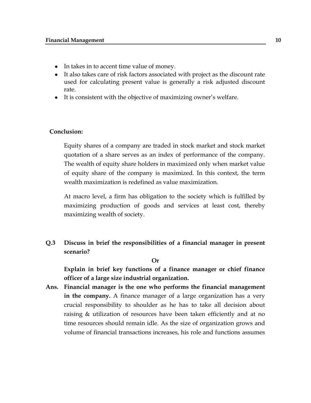- In takes in to accent time value of money.
- It also takes care of risk factors associated with project as the discount rate used for calculating present value is generally a risk adjusted discount rate.
- It is consistent with the objective of maximizing owner"s welfare.

#### **Conclusion:**

Equity shares of a company are traded in stock market and stock market quotation of a share serves as an index of performance of the company. The wealth of equity share holders in maximized only when market value of equity share of the company is maximized. In this context, the term wealth maximization is redefined as value maximization.

At macro level, a firm has obligation to the society which is fulfilled by maximizing production of goods and services at least cost, thereby maximizing wealth of society.

**Q.3 Discuss in brief the responsibilities of a financial manager in present scenario?**

**Or**

**Explain in brief key functions of a finance manager or chief finance officer of a large size industrial organization.**

**Ans. Financial manager is the one who performs the financial management in the company.** A finance manager of a large organization has a very crucial responsibility to shoulder as he has to take all decision about raising & utilization of resources have been taken efficiently and at no time resources should remain idle. As the size of organization grows and volume of financial transactions increases, his role and functions assumes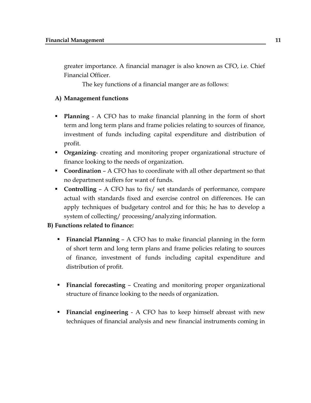greater importance. A financial manager is also known as CFO, i.e. Chief Financial Officer.

The key functions of a financial manger are as follows:

# **A) Management functions**

- **Planning** A CFO has to make financial planning in the form of short term and long term plans and frame policies relating to sources of finance, investment of funds including capital expenditure and distribution of profit.
- **Organizing** creating and monitoring proper organizational structure of finance looking to the needs of organization.
- **Coordina**t**ion** A CFO has to coordinate with all other department so that no department suffers for want of funds.
- **Controlling**  A CFO has to fix/ set standards of performance, compare actual with standards fixed and exercise control on differences. He can apply techniques of budgetary control and for this; he has to develop a system of collecting/ processing/analyzing information.

# **B) Functions related to finance:**

- **Financial Planning**  A CFO has to make financial planning in the form of short term and long term plans and frame policies relating to sources of finance, investment of funds including capital expenditure and distribution of profit.
- **Financial forecasting** Creating and monitoring proper organizational structure of finance looking to the needs of organization.
- **Financial engineering** A CFO has to keep himself abreast with new techniques of financial analysis and new financial instruments coming in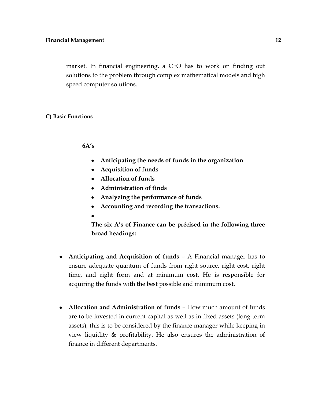market. In financial engineering, a CFO has to work on finding out solutions to the problem through complex mathematical models and high speed computer solutions.

#### **C) Basic Functions**

#### **6A's**

- **Anticipating the needs of funds in the organization**
- **Acquisition of funds**   $\bullet$
- **Allocation of funds**
- **Administration of finds**
- **Analyzing the performance of funds**
- **Accounting and recording the transactions.**
- 

**The six A's of Finance can be précised in the following three broad headings:**

- **Anticipating and Acquisition of funds** A Financial manager has to ensure adequate quantum of funds from right source, right cost, right time, and right form and at minimum cost. He is responsible for acquiring the funds with the best possible and minimum cost.
- **Allocation and Administration of funds** How much amount of funds are to be invested in current capital as well as in fixed assets (long term assets), this is to be considered by the finance manager while keeping in view liquidity & profitability. He also ensures the administration of finance in different departments.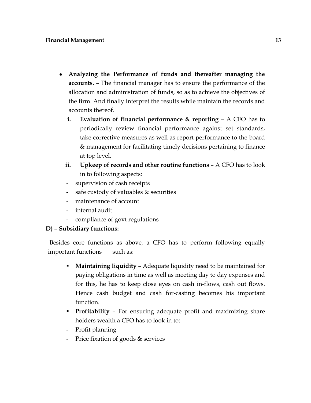- **Analyzing the Performance of funds and thereafter managing the accounts.** – The financial manager has to ensure the performance of the allocation and administration of funds, so as to achieve the objectives of the firm. And finally interpret the results while maintain the records and accounts thereof.
	- **i. Evaluation of financial performance & reporting** A CFO has to periodically review financial performance against set standards, take corrective measures as well as report performance to the board & management for facilitating timely decisions pertaining to finance at top level.
	- **ii. Upkeep of records and other routine functions** A CFO has to look in to following aspects:
	- supervision of cash receipts
	- safe custody of valuables  $&$  securities
	- maintenance of account
	- internal audit
	- compliance of govt regulations

# **D) – Subsidiary functions:**

Besides core functions as above, a CFO has to perform following equally important functions such as:

- **Maintaining liquidity** Adequate liquidity need to be maintained for paying obligations in time as well as meeting day to day expenses and for this, he has to keep close eyes on cash in-flows, cash out flows. Hence cash budget and cash for-casting becomes his important function.
- **Profitability** For ensuring adequate profit and maximizing share holders wealth a CFO has to look in to:
- Profit planning
- Price fixation of goods & services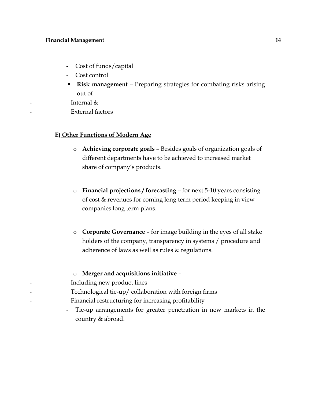- Cost of funds/capital
- Cost control
- **Risk management** Preparing strategies for combating risks arising out of
- Internal  $\&$
- External factors

#### **E) Other Functions of Modern Age**

- o **Achieving corporate goals** Besides goals of organization goals of different departments have to be achieved to increased market share of company's products.
- o **Financial projections / forecasting** for next 5-10 years consisting of cost & revenues for coming long term period keeping in view companies long term plans.
- o **Corporate Governance** for image building in the eyes of all stake holders of the company, transparency in systems / procedure and adherence of laws as well as rules & regulations.

#### o **Merger and acquisitions initiative** –

- Including new product lines
- Technological tie-up/ collaboration with foreign firms
- Financial restructuring for increasing profitability
	- Tie-up arrangements for greater penetration in new markets in the country & abroad.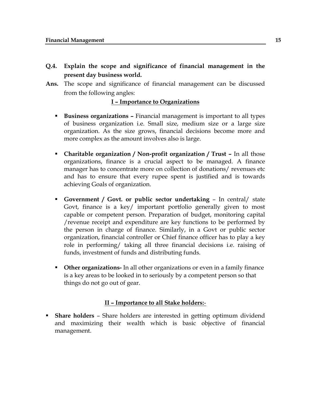- **Q.4. Explain the scope and significance of financial management in the present day business world.**
- **Ans.** The scope and significance of financial management can be discussed from the following angles:

## **I – Importance to Organizations**

- **Business organizations –** Financial management is important to all types of business organization i.e. Small size, medium size or a large size organization. As the size grows, financial decisions become more and more complex as the amount involves also is large.
- **Charitable organization / Non-profit organization / Trust In all those** organizations, finance is a crucial aspect to be managed. A finance manager has to concentrate more on collection of donations/ revenues etc and has to ensure that every rupee spent is justified and is towards achieving Goals of organization.
- **Government / Govt. or public sector undertaking** In central/ state Govt, finance is a key/ important portfolio generally given to most capable or competent person. Preparation of budget, monitoring capital /revenue receipt and expenditure are key functions to be performed by the person in charge of finance. Similarly, in a Govt or public sector organization, financial controller or Chief finance officer has to play a key role in performing/ taking all three financial decisions i.e. raising of funds, investment of funds and distributing funds.
- **Other organizations-** In all other organizations or even in a family finance is a key areas to be looked in to seriously by a competent person so that things do not go out of gear.

#### **II – Importance to all Stake holders:**-

 **Share holders** – Share holders are interested in getting optimum dividend and maximizing their wealth which is basic objective of financial management.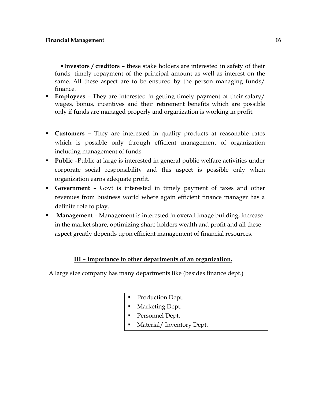**Investors / creditors** – these stake holders are interested in safety of their funds, timely repayment of the principal amount as well as interest on the same. All these aspect are to be ensured by the person managing funds/ finance.

- **Employees** They are interested in getting timely payment of their salary/ wages, bonus, incentives and their retirement benefits which are possible only if funds are managed properly and organization is working in profit.
- **Customers –** They are interested in quality products at reasonable rates which is possible only through efficient management of organization including management of funds.
- **Public** -Public at large is interested in general public welfare activities under corporate social responsibility and this aspect is possible only when organization earns adequate profit.
- **Government** Govt is interested in timely payment of taxes and other revenues from business world where again efficient finance manager has a definite role to play.
- **Management** Management is interested in overall image building, increase in the market share, optimizing share holders wealth and profit and all these aspect greatly depends upon efficient management of financial resources.

## **III – Importance to other departments of an organization.**

A large size company has many departments like (besides finance dept.)

- Production Dept.
- **Marketing Dept.**
- Personnel Dept.
- Material/ Inventory Dept.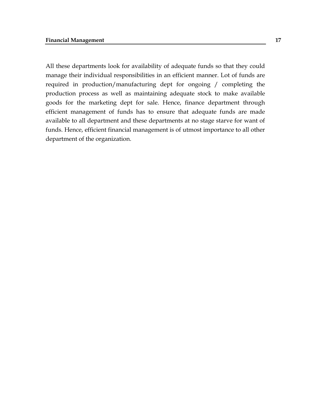All these departments look for availability of adequate funds so that they could manage their individual responsibilities in an efficient manner. Lot of funds are required in production/manufacturing dept for ongoing / completing the production process as well as maintaining adequate stock to make available goods for the marketing dept for sale. Hence, finance department through efficient management of funds has to ensure that adequate funds are made available to all department and these departments at no stage starve for want of funds. Hence, efficient financial management is of utmost importance to all other department of the organization.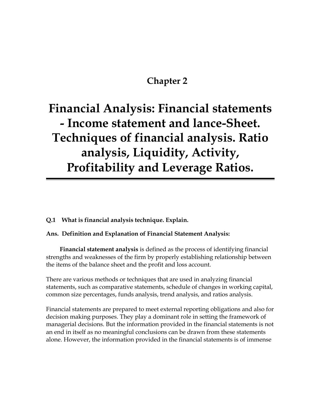# **Chapter 2**

# **Financial Analysis: Financial statements - Income statement and lance-Sheet. Techniques of financial analysis. Ratio analysis, Liquidity, Activity, Profitability and Leverage Ratios.**

**Q.1 What is financial analysis technique. Explain.**

**Ans. Definition and Explanation of Financial Statement Analysis:**

 **Financial statement analysis** is defined as the process of identifying financial strengths and weaknesses of the firm by properly establishing relationship between the items of the balance sheet and the profit and loss account.

There are various methods or techniques that are used in analyzing financial statements, such as comparative statements, schedule of changes in [working capital,](http://www.accounting4management.com/working_capital_definition.htm) common size percentages, funds analysis, trend analysis, and ratios analysis.

Financial statements are prepared to meet external reporting obligations and also for decision making purposes. They play a dominant role in setting the framework of managerial decisions. But the information provided in the financial statements is not an end in itself as no meaningful conclusions can be drawn from these statements alone. However, the information provided in the financial statements is of immense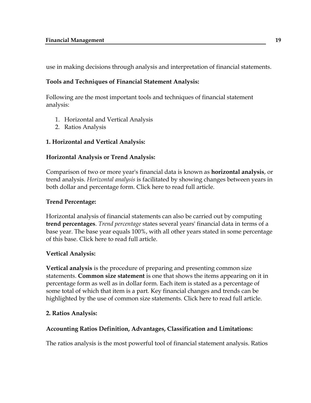use in making decisions through analysis and interpretation of financial statements.

## **Tools and Techniques of Financial Statement Analysis:**

Following are the most important tools and techniques of financial statement analysis:

- 1. [Horizontal and Vertical Analysis](http://www.accounting4management.com/accounting_ratios.htm#Horizontal and Vertical Analysis)
- 2. [Ratios Analysis](http://www.accounting4management.com/accounting_ratios.htm#Ratios Analysis)

## **1. Horizontal and Vertical Analysis:**

## **[Horizontal Analysis or Trend Analysis:](http://www.accounting4management.com/horizontal_analysis_or_trend_analysis.htm)**

Comparison of two or more year's financial data is known as **horizontal analysis**, or trend analysis. *Horizontal analysis* is facilitated by showing changes between years in both dollar and percentage form. [Click here to read full article.](http://www.accounting4management.com/horizontal_analysis_or_trend_analysis.htm)

## **[Trend Percentage:](http://www.accounting4management.com/trend_percentages.htm)**

Horizontal analysis of financial statements can also be carried out by computing **trend percentages**. *Trend percentage* states several years' financial data in terms of a base year. The base year equals 100%, with all other years stated in some percentage of this base. [Click here to read full article.](http://www.accounting4management.com/trend_percentages.htm)

## **[Vertical Analysis:](http://www.accounting4management.com/vertical_analysis_full.htm)**

**Vertical analysis** is the procedure of preparing and presenting common size statements. **Common size statement** is one that shows the items appearing on it in percentage form as well as in dollar form. Each item is stated as a percentage of some total of which that item is a part. Key financial changes and trends can be highlighted by the use of common size statements. [Click here to read full article.](http://www.accounting4management.com/vertical_analysis_full.htm)

## **2. Ratios Analysis:**

## **[Accounting Ratios Definition, Advantages, Classification and Limitations:](http://www.accounting4management.com/financial_statement_analysis_accounting_ratios.htm)**

The ratios analysis is the most powerful tool of financial statement analysis. Ratios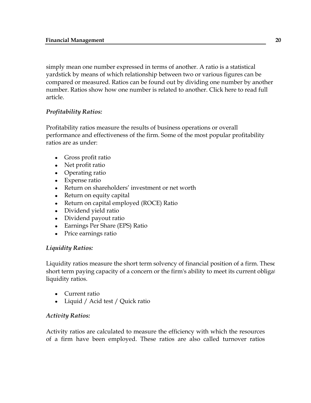simply mean one number expressed in terms of another. A ratio is a statistical yardstick by means of which relationship between two or various figures can be compared or measured. Ratios can be found out by dividing one number by another number. Ratios show how one number is related to another. [Click here to read full](http://www.accounting4management.com/financial_statement_analysis_accounting_ratios.htm)  [article.](http://www.accounting4management.com/financial_statement_analysis_accounting_ratios.htm)

# *Profitability Ratios:*

Profitability ratios measure the results of business operations or overall performance and effectiveness of the firm. Some of the most popular profitability ratios are as under:

- [Gross profit ratio](http://www.accounting4management.com/gross_profit_ratio.htm)  $\bullet$
- [Net profit ratio](http://www.accounting4management.com/net_profit_ratio.htm)
- [Operating ratio](http://www.accounting4management.com/operating_ratio.htm)
- [Expense ratio](http://www.accounting4management.com/expense_ratio.htm)
- Return on shareholders' [investment or net worth](http://www.accounting4management.com/retun_on_share_holders_investment_or_net_worth.htm)
- Return on equity capital
- [Return on capital employed \(ROCE\) Ratio](http://www.accounting4management.com/return_on_capital_employed.htm)
- [Dividend yield ratio](http://www.accounting4management.com/dividend_yield_ratio.htm)
- [Dividend payout ratio](http://www.accounting4management.com/dividend_payout_ratio.htm)
- [Earnings Per Share \(EPS\) Ratio](http://www.accounting4management.com/earnings_per_share_ratio.htm)
- [Price earnings](http://www.accounting4management.com/price_earning_ratio.htm) ratio

# *Liquidity Ratios:*

Liquidity ratios measure the short term solvency of financial position of a firm. These short term paying capacity of a concern or the firm's ability to meet its current obligations. liquidity ratios.

- [Current ratio](http://www.accounting4management.com/current_ratio.htm)  $\bullet$
- [Liquid / Acid test / Quick ratio](http://www.accounting4management.com/liquid_ratio.htm)

# *Activity Ratios:*

Activity ratios are calculated to measure the efficiency with which the resources of a firm have been employed. These ratios are also called turnover ratios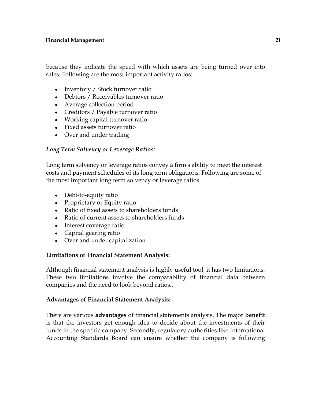because they indicate the speed with which assets are being turned over into sales. Following are the most important activity ratios:

- [Inventory / Stock turnover ratio](http://www.accounting4management.com/stock_turn_over_ratio.htm)
- [Debtors / Receivables turnover ratio](http://www.accounting4management.com/debtors_or_receivable_turnover_ratio.htm)
- [Average collection period](http://www.accounting4management.com/average_collection_period.htm)
- [Creditors / Payable turnover ratio](http://www.accounting4management.com/creditors_payable_turnover_ratio.htm)
- [Working capital turnover ratio](http://www.accounting4management.com/working_capital_turnover_ratio.htm)
- [Fixed assets turnover ratio](http://www.accounting4management.com/fixed_assets_turnover_ratio.htm)
- [Over and under trading](http://www.accounting4management.com/over_and_under_trading.htm)

# *Long Term Solvency or Leverage Ratios:*

Long term solvency or leverage ratios convey a firm's ability to meet the interest costs and payment schedules of its long term obligations. Following are some of the most important long term solvency or leverage ratios.

- [Debt-to-equity ratio](http://www.accounting4management.com/debt_equity_ratio.htm)  $\bullet$
- [Proprietary or Equity ratio](http://www.accounting4management.com/equity_ratio.htm)
- [Ratio of fixed assets to shareholders funds](http://www.accounting4management.com/fixed_assets_to_proprietors_fund_ratio.htm)
- [Ratio of current assets to shareholders funds](http://www.accounting4management.com/current_assets_to_proprietors_fund_ratio.htm)
- [Interest coverage ratio](http://www.accounting4management.com/interest_coverage_ratio.htm)
- [Capital gearing ratio](http://www.accounting4management.com/capital_gearing_ratio.htm)
- [Over and under capitalization](http://www.accounting4management.com/over_and_under_capitalization.htm)

# **[Limitations of Financial Statement Analysis:](http://www.accounting4management.com/limitations_of_financial_statement_analysis.htm)**

Although financial statement analysis is highly useful tool, it has two limitations. These two limitations involve the comparability of financial data between companies and the need to look beyond ratios..

# **Advantages of Financial Statement Analysis:**

There are various **advantages** of financial statements analysis. The major **benefit** is that the investors get enough idea to decide about the investments of their funds in the specific company. Secondly, regulatory authorities like International Accounting Standards Board can ensure whether the company is following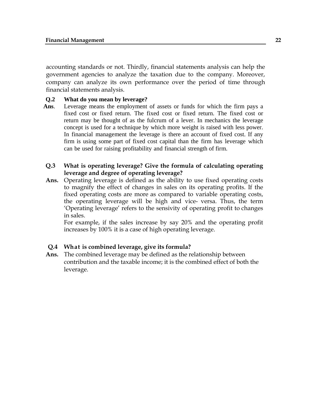accounting standards or not. Thirdly, financial statements analysis can help the government agencies to analyze the taxation due to the company. Moreover, company can analyze its own performance over the period of time through financial statements analysis.

## **Q.2 What do you mean by leverage?**

- **Ans**. Leverage means the employment of assets or funds for which the firm pays a fixed cost or fixed return. The fixed cost or fixed return. The fixed cost or return may be thought of as the fulcrum of a lever. In mechanics the leverage concept is used for a technique by which more weight is raised with less power. In financial management the leverage is there an account of fixed cost. If any firm is using some part of fixed cost capital than the firm has leverage which can be used for raising profitability and financial strength of firm.
- **Q.3 What is operating leverage? Give the formula of calculating operating leverage and degree of operating leverage?**
- **Ans.** Operating leverage is defined as the ability to use fixed operating costs to magnify the effect of changes in sales on its operating profits. If the fixed operating costs are more as compared to variable operating costs, the operating leverage will be high and vice- versa. Thus, the term "Operating leverage" refers to the sensivity of operating profit to changes in sales.

For example, if the sales increase by say 20% and the operating profit increases by 100% it is a case of high operating leverage.

## **Q.4 What is combined leverage, give its formula?**

**Ans.** The combined leverage may be defined as the relationship between contribution and the taxable income; it is the combined effect of both the leverage.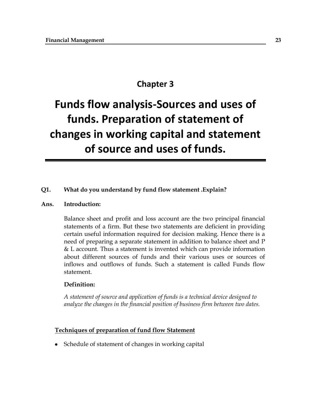# **Chapter 3**

# **Funds flow analysis-Sources and uses of funds. Preparation of statement of changes in working capital and statement of source and uses of funds.**

#### **Q1. What do you understand by fund flow statement .Explain?**

#### **Ans. Introduction:**

Balance sheet and profit and loss account are the two principal financial statements of a firm. But these two statements are deficient in providing certain useful information required for decision making. Hence there is a need of preparing a separate statement in addition to balance sheet and P & L account. Thus a statement is invented which can provide information about different sources of funds and their various uses or sources of inflows and outflows of funds. Such a statement is called Funds flow statement.

#### **Definition:**

*A statement of source and application of funds is a technical device designed to analyze the changes in the financial position of business firm between two dates.*

#### **Techniques of preparation of fund flow Statement**

Schedule of statement of changes in working capital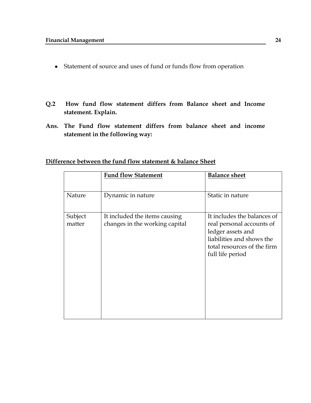- Statement of source and uses of fund or funds flow from operation
- **Q.2 How fund flow statement differs from Balance sheet and Income statement. Explain.**
- **Ans. The Fund flow statement differs from balance sheet and income statement in the following way:**

|                   | <b>Fund flow Statement</b>                                      | <b>Balance sheet</b>                                                                                                                                          |
|-------------------|-----------------------------------------------------------------|---------------------------------------------------------------------------------------------------------------------------------------------------------------|
| Nature            | Dynamic in nature                                               | Static in nature                                                                                                                                              |
| Subject<br>matter | It included the items causing<br>changes in the working capital | It includes the balances of<br>real personal accounts of<br>ledger assets and<br>liabilities and shows the<br>total resources of the firm<br>full life period |

# **Difference between the fund flow statement & balance Sheet**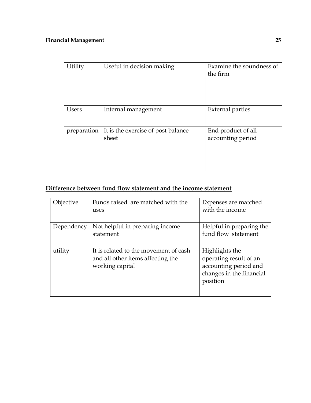| Utility     | Useful in decision making                   | Examine the soundness of<br>the firm    |
|-------------|---------------------------------------------|-----------------------------------------|
| Users       | Internal management                         | <b>External parties</b>                 |
| preparation | It is the exercise of post balance<br>sheet | End product of all<br>accounting period |

# **Difference between fund flow statement and the income statement**

| Objective  | Funds raised are matched with the     | Expenses are matched     |
|------------|---------------------------------------|--------------------------|
|            | uses                                  | with the income          |
|            |                                       |                          |
| Dependency | Not helpful in preparing income       | Helpful in preparing the |
|            | statement                             | fund flow statement      |
|            |                                       |                          |
| utility    | It is related to the movement of cash | Highlights the           |
|            | and all other items affecting the     | operating result of an   |
|            | working capital                       | accounting period and    |
|            |                                       | changes in the financial |
|            |                                       | position                 |
|            |                                       |                          |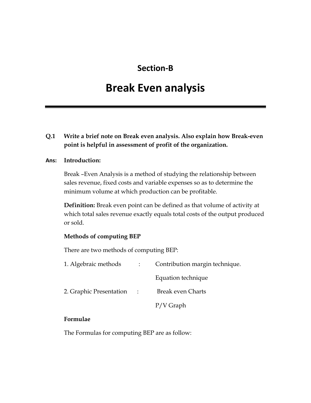# **Section-B**

# **Break Even analysis**

# **Q.1 Write a brief note on Break even analysis. Also explain how Break-even point is helpful in assessment of profit of the organization.**

#### **Ans: Introduction:**

Break –Even Analysis is a method of studying the relationship between sales revenue, fixed costs and variable expenses so as to determine the minimum volume at which production can be profitable.

**Definition:** Break even point can be defined as that volume of activity at which total sales revenue exactly equals total costs of the output produced or sold.

#### **Methods of computing BEP**

There are two methods of computing BEP:

| 1. Algebraic methods    |            | Contribution margin technique. |
|-------------------------|------------|--------------------------------|
|                         |            | Equation technique             |
| 2. Graphic Presentation | $\sim 100$ | <b>Break even Charts</b>       |
|                         |            | $P/V$ Graph                    |
|                         |            |                                |

## **Formulae**

The Formulas for computing BEP are as follow: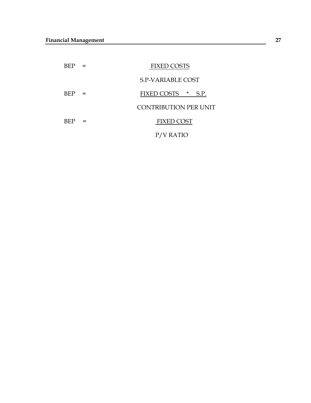| BEP  |     | <b>FIXED COSTS</b>           |
|------|-----|------------------------------|
|      |     | <b>S.P-VARIABLE COST</b>     |
| BEP. | $=$ | FIXED COSTS *<br>S.P.        |
|      |     | <b>CONTRIBUTION PER UNIT</b> |
| BEP  |     | <b>FIXED COST</b>            |
|      |     | V RATIO                      |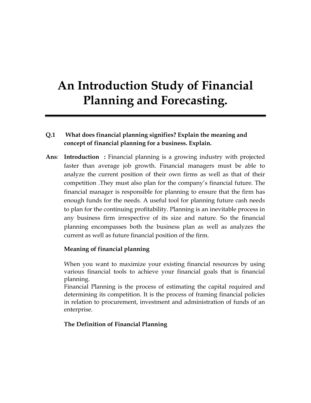# **An Introduction Study of Financial Planning and Forecasting.**

# **Q.1 What does financial planning signifies? Explain the meaning and concept of financial planning for a business. Explain.**

**Ans**: **Introduction :** Financial planning is a growing industry with projected faster than average job growth. Financial managers must be able to analyze the current position of their own firms as well as that of their competition .They must also plan for the company"s financial future. The financial manager is responsible for planning to ensure that the firm has enough funds for the needs. A useful tool for planning future cash needs to plan for the continuing profitability. Planning is an inevitable process in any business firm irrespective of its size and nature. So the financial planning encompasses both the business plan as well as analyzes the current as well as future financial position of the firm.

# **Meaning of financial planning**

When you want to maximize your existing financial resources by using various financial tools to achieve your financial goals that is financial planning.

Financial Planning is the process of estimating the capital required and determining its competition. It is the process of framing financial policies in relation to procurement, investment and administration of funds of an enterprise.

# **The Definition of Financial Planning**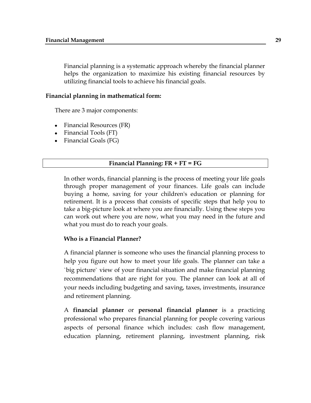Financial planning is a systematic approach whereby the financial planner helps the organization to maximize his existing financial resources by utilizing financial tools to achieve his financial goals.

#### **Financial planning in mathematical form:**

There are 3 major components:

- Financial Resources (FR)
- Financial Tools (FT)
- Financial Goals (FG)

#### **Financial Planning: FR + FT = FG**

In other words, financial planning is the process of meeting your life goals through proper management of your finances. Life goals can include buying a home, saving for your children's education or planning for retirement. It is a process that consists of specific steps that help you to take a big-picture look at where you are financially. Using these steps you can work out where you are now, what you may need in the future and what you must do to reach your goals.

#### **Who is a Financial Planner?**

A financial planner is someone who uses the financial planning process to help you figure out how to meet your life goals. The planner can take a `big picture` view of your financial situation and make financial planning recommendations that are right for you. The planner can look at all of your needs including budgeting and saving, taxes, investments, insurance and retirement planning.

A **financial planner** or **personal financial planner** is a practicing professional who prepares financial planning for people covering various aspects of personal finance which includes: [cash flow](http://en.wikipedia.org/wiki/Cash_flow) management, education planning, [retirement planning,](http://en.wikipedia.org/wiki/Retirement_planning) [investment planning,](http://en.wikipedia.org/wiki/Investment_management) [risk](http://en.wikipedia.org/wiki/Financial_risk_management)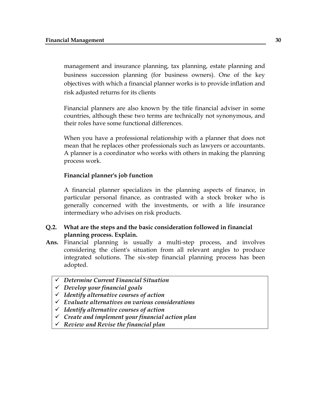management and insurance planning, tax planning, [estate planning](http://en.wikipedia.org/wiki/Estate_planning) and business succession planning (for business owners). One of the key objectives with which a financial planner works is to provide inflation and risk adjusted returns for its clients

Financial planners are also known by the title financial adviser in some countries, although these two terms are technically not synonymous, and their roles have some functional differences.

When you have a professional relationship with a planner that does not mean that he replaces other professionals such as lawyers or accountants. A planner is a coordinator who works with others in making the planning process work.

#### **Financial planner's job function**

A financial planner specializes in the planning aspects of finance, in particular personal finance, as contrasted with a stock broker who is generally concerned with the investments, or with a life insurance intermediary who advises on risk products.

#### **Q.2. What are the steps and the basic consideration followed in financial planning process. Explain.**

- **Ans.** Financial planning is usually a multi-step process, and involves considering the client's situation from all relevant angles to produce integrated solutions. The six-step financial planning process has been adopted.
	- *Determine Current Financial Situation*
	- *Develop your financial goals*
	- *Identify alternative courses of action*
	- *Evaluate alternatives on various considerations*
	- *Identify alternative courses of action*
	- *Create and implement your financial action plan*
	- *Review and Revise the financial plan*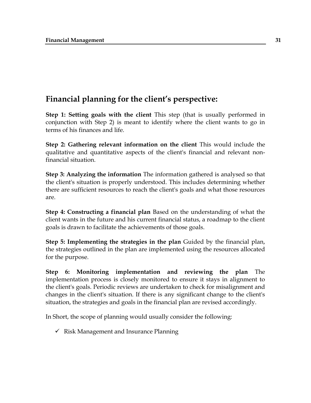# **Financial planning for the client's perspective:**

**Step 1: Setting goals with the client** This step (that is usually performed in conjunction with Step 2) is meant to identify where the client wants to go in terms of his finances and life.

**Step 2: Gathering relevant information on the client** This would include the qualitative and quantitative aspects of the client's financial and relevant nonfinancial situation.

**Step 3: Analyzing the information** The information gathered is analysed so that the client's situation is properly understood. This includes determining whether there are sufficient resources to reach the client's goals and what those resources are.

**Step 4: Constructing a financial plan** Based on the understanding of what the client wants in the future and his current financial status, a roadmap to the client goals is drawn to facilitate the achievements of those goals.

**Step 5: Implementing the strategies in the plan** Guided by the financial plan, the strategies outlined in the plan are implemented using the resources allocated for the purpose.

**Step 6: Monitoring implementation and reviewing the plan** The implementation process is closely monitored to ensure it stays in alignment to the client's goals. Periodic reviews are undertaken to check for misalignment and changes in the client's situation. If there is any significant change to the client's situation, the strategies and goals in the financial plan are revised accordingly.

In Short, the scope of planning would usually consider the following:

 $\checkmark$  [Risk Management](http://en.wikipedia.org/wiki/Financial_risk_management) and Insurance Planning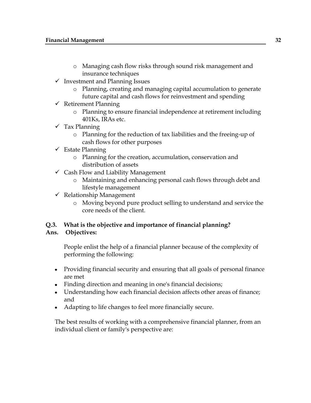- o Managing cash flow risks through sound risk management and insurance techniques
- $\checkmark$  Investment and Planning Issues
	- o Planning, creating and managing capital accumulation to generate future capital and cash flows for reinvestment and spending
- $\checkmark$  Retirement Planning
	- o Planning to ensure [financial independence](http://en.wikipedia.org/wiki/Financial_independence) at retirement including 401Ks, IRAs etc.
- $\checkmark$  Tax Planning
	- o Planning for the reduction of tax liabilities and the freeing-up of cash flows for other purposes
- $\checkmark$  Estate Planning
	- o Planning for the creation, accumulation, conservation and distribution of assets
- $\checkmark$  [Cash Flow](http://en.wikipedia.org/wiki/Cash_Flow) and Liability Management
	- o Maintaining and enhancing personal cash flows through debt and lifestyle management
- $\checkmark$  Relationship Management
	- o Moving beyond pure product selling to understand and service the core needs of the client.

# **Q.3. What is the objective and importance of financial planning?**

# **Ans. Objectives:**

People enlist the help of a financial planner because of the complexity of performing the following:

- Providing financial security and ensuring that all goals of personal finance are met
- Finding direction and meaning in one's financial decisions;
- Understanding how each financial decision affects other areas of finance; and
- Adapting to life changes to feel more financially secure.

The best results of working with a comprehensive financial planner, from an individual client or family's perspective are: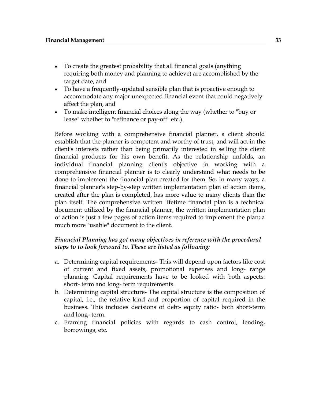- To create the greatest probability that all financial goals (anything requiring both money and planning to achieve) are accomplished by the target date, and
- To have a frequently-updated sensible plan that is proactive enough to accommodate any major unexpected financial event that could negatively affect the plan, and
- To make intelligent financial choices along the way (whether to "buy or  $\bullet$ lease" whether to "refinance or pay-off" etc.).

Before working with a comprehensive financial planner, a client should establish that the planner is competent and worthy of trust, and will act in the client's interests rather than being primarily interested in selling the client financial products for his own benefit. As the relationship unfolds, an individual financial planning client's objective in working with a comprehensive financial planner is to clearly understand what needs to be done to implement the financial plan created for them. So, in many ways, a financial planner's step-by-step written implementation plan of action items, created after the plan is completed, has more value to many clients than the plan itself. The comprehensive written lifetime financial plan is a technical document utilized by the financial planner, the written implementation plan of action is just a few pages of action items required to implement the plan; a much more "usable" document to the client.

# *Financial Planning has got many objectives in reference with the procedural steps to to look forward to. These are listed as following:*

- a. Determining capital requirements- This will depend upon factors like cost of current and fixed assets, promotional expenses and long- range planning. Capital requirements have to be looked with both aspects: short- term and long- term requirements.
- b. Determining capital structure- The capital structure is the composition of capital, i.e., the relative kind and proportion of capital required in the business. This includes decisions of debt- equity ratio- both short-term and long- term.
- c. Framing financial policies with regards to cash control, lending, borrowings, etc.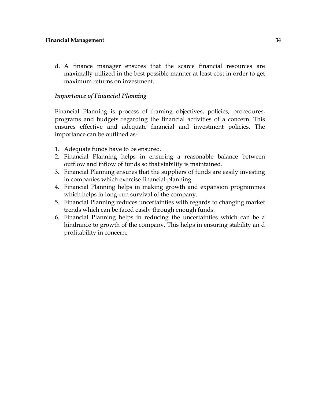d. A finance manager ensures that the scarce financial resources are maximally utilized in the best possible manner at least cost in order to get maximum returns on investment.

### *Importance of Financial Planning*

Financial Planning is process of framing objectives, policies, procedures, programs and budgets regarding the financial activities of a concern. This ensures effective and adequate financial and investment policies. The importance can be outlined as-

- 1. Adequate funds have to be ensured.
- 2. Financial Planning helps in ensuring a reasonable balance between outflow and inflow of funds so that stability is maintained.
- 3. Financial Planning ensures that the suppliers of funds are easily investing in companies which exercise financial planning.
- 4. Financial Planning helps in making growth and expansion programmes which helps in long-run survival of the company.
- 5. Financial Planning reduces uncertainties with regards to changing market trends which can be faced easily through enough funds.
- 6. Financial Planning helps in reducing the uncertainties which can be a hindrance to growth of the company. This helps in ensuring stability an d profitability in concern.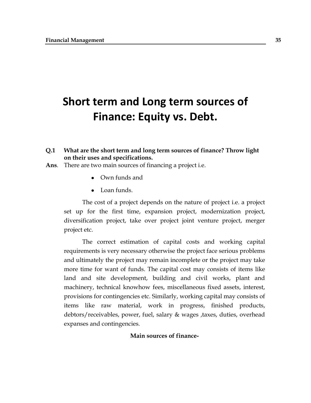# **Short term and Long term sources of Finance: Equity vs. Debt.**

- **Q.1 What are the short term and long term sources of finance? Throw light on their uses and specifications.**
- **Ans**. There are two main sources of financing a project i.e.
	- Own funds and
	- Loan funds

The cost of a project depends on the nature of project i.e. a project set up for the first time, expansion project, modernization project, diversification project, take over project joint venture project, merger project etc.

The correct estimation of capital costs and working capital requirements is very necessary otherwise the project face serious problems and ultimately the project may remain incomplete or the project may take more time for want of funds. The capital cost may consists of items like land and site development, building and civil works, plant and machinery, technical knowhow fees, miscellaneous fixed assets, interest, provisions for contingencies etc. Similarly, working capital may consists of items like raw material, work in progress, finished products, debtors/receivables, power, fuel, salary & wages ,taxes, duties, overhead expanses and contingencies.

## **Main sources of finance-**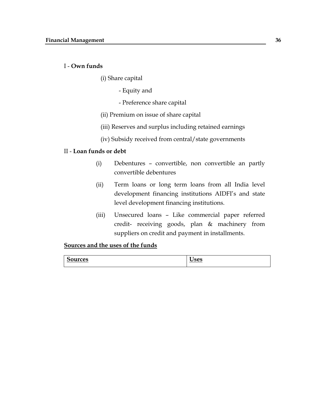#### I - **Own funds**

- (i) Share capital
	- Equity and
	- Preference share capital
- (ii) Premium on issue of share capital
- (iii) Reserves and surplus including retained earnings
- (iv) Subsidy received from central/state governments

## II - **Loan funds or debt**

- (i) Debentures convertible, non convertible an partly convertible debentures
- (ii) Term loans or long term loans from all India level development financing institutions AIDFI's and state level development financing institutions.
- (iii) Unsecured loans Like commercial paper referred credit- receiving goods, plan & machinery from suppliers on credit and payment in installments.

## **Sources and the uses of the funds**

| $\epsilon$ |      |
|------------|------|
| ces        | __   |
| -------    | ---- |
|            |      |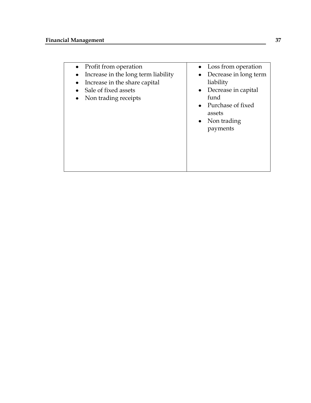- Profit from operation  $\bullet$
- Increase in the long term liability
- $\bullet$  Increase in the share capital
- Sale of fixed assets
- Non trading receipts
- Loss from operation
- Decrease in long term liability
- Decrease in capital fund
- Purchase of fixed assets
- Non trading payments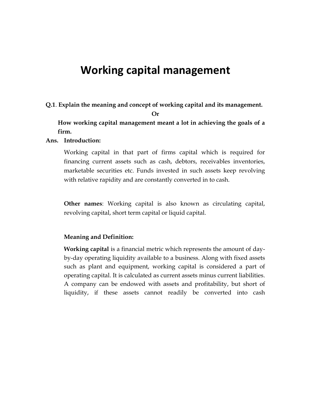# **Working capital management**

**Q.1**. **Explain the meaning and concept of working capital and its management.**

**Or**

**How working capital management meant a lot in achieving the goals of a firm.**

#### **Ans. Introduction:**

Working capital in that part of firms capital which is required for financing current assets such as cash, debtors, receivables inventories, marketable securities etc. Funds invested in such assets keep revolving with relative rapidity and are constantly converted in to cash.

**Other names**: Working capital is also known as circulating capital, revolving capital, short term capital or liquid capital.

#### **Meaning and Definition:**

**Working capital** is a financial metric which represents the amount of dayby-day operating liquidity available to a business. Along with fixed assets such as plant and equipment, working capital is considered a part of operating capital. It is calculated as current assets minus current liabilities. A company can be endowed with assets and profitability, but short of liquidity, if these assets cannot readily be converted into cash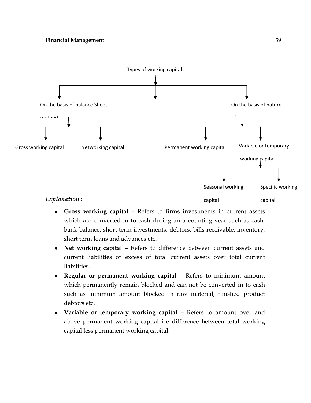

- **Gross working capital** Refers to firms investments in current assets which are converted in to cash during an accounting year such as cash, bank balance, short term investments, debtors, bills receivable, inventory, short term loans and advances etc.
- **Net working capital** Refers to difference between current assets and current liabilities or excess of total current assets over total current liabilities.
- **Regular or permanent working capital** Refers to minimum amount which permanently remain blocked and can not be converted in to cash such as minimum amount blocked in raw material, finished product debtors etc.
- **Variable or temporary working capital** Refers to amount over and above permanent working capital i e difference between total working capital less permanent working capital.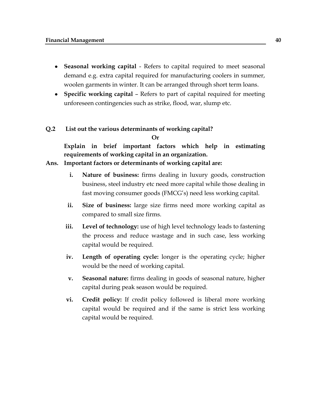- **Seasonal working capital** Refers to capital required to meet seasonal demand e.g. extra capital required for manufacturing coolers in summer, woolen garments in winter. It can be arranged through short term loans.
- **Specific working capital** Refers to part of capital required for meeting unforeseen contingencies such as strike, flood, war, slump etc.

#### **Q.2 List out the various determinants of working capital?**

**Or**

**Explain in brief important factors which help in estimating requirements of working capital in an organization.** 

#### **Ans. Important factors or determinants of working capital are:**

- **i. Nature of business:** firms dealing in luxury goods, construction business, steel industry etc need more capital while those dealing in fast moving consumer goods (FMCG"s) need less working capital.
- **ii. Size of business:** large size firms need more working capital as compared to small size firms.
- **iii. Level of technology:** use of high level technology leads to fastening the process and reduce wastage and in such case, less working capital would be required.
- **iv. Length of operating cycle:** longer is the operating cycle; higher would be the need of working capital.
- **v. Seasonal nature:** firms dealing in goods of seasonal nature, higher capital during peak season would be required.
- **vi. Credit policy:** If credit policy followed is liberal more working capital would be required and if the same is strict less working capital would be required.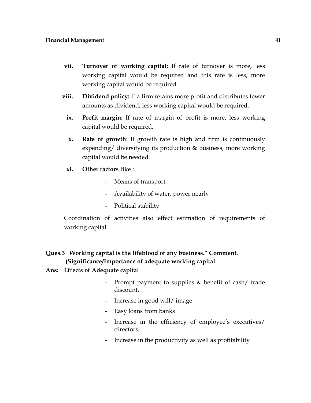- **vii. Turnover of working capital:** If rate of turnover is more, less working capital would be required and this rate is less, more working capital would be required.
- **viii. Dividend policy:** If a firm retains more profit and distributes fewer amounts as dividend, less working capital would be required.
	- **ix. Profit margin:** If rate of margin of profit is more, less working capital would be required.
	- **x. Rate of growth**: If growth rate is high and firm is continuously expending/ diversifying its production & business, more working capital would be needed.

#### **xi. Other factors like** :

- Means of transport
- Availability of water, power nearly
- Political stability

Coordination of activities also effect estimation of requirements of working capital.

# **Ques.3 Working capital is the lifeblood of any business." Comment. (Significance/Importance of adequate working capital**

#### **Ans: Effects of Adequate capital**

- Prompt payment to supplies & benefit of cash/ trade discount.
- Increase in good will/ image
- Easy loans from banks
- Increase in the efficiency of employee's executives/ directors.
- Increase in the productivity as well as profitability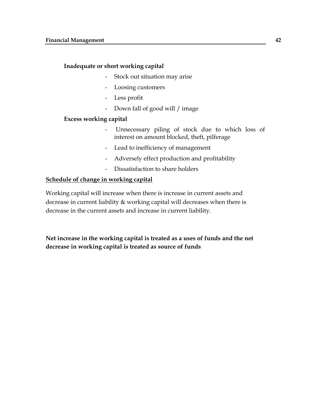#### **Inadequate or short working capital**

- Stock out situation may arise
- Loosing customers
- Less profit
- Down fall of good will / image

#### **Excess working capital**

- Unnecessary piling of stock due to which loss of interest on amount blocked, theft, pilferage
- Lead to inefficiency of management
- Adversely effect production and profitability
- Dissatisfaction to share holders

# **Schedule of change in working capital**

Working capital will increase when there is increase in current assets and decrease in current liability & working capital will decreases when there is decrease in the current assets and increase in current liability.

**Net increase in the working capital is treated as a uses of funds and the net decrease in working capital is treated as source of funds**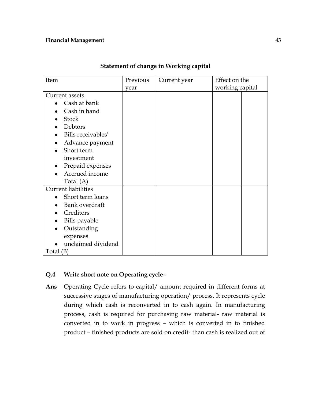#### **Financial Management 43**

| Item                       | Previous | Current year | Effect on the   |
|----------------------------|----------|--------------|-----------------|
|                            | year     |              | working capital |
| Current assets             |          |              |                 |
| Cash at bank               |          |              |                 |
| Cash in hand               |          |              |                 |
| <b>Stock</b>               |          |              |                 |
| Debtors                    |          |              |                 |
| Bills receivables'         |          |              |                 |
| Advance payment            |          |              |                 |
| Short term                 |          |              |                 |
| investment                 |          |              |                 |
| Prepaid expenses           |          |              |                 |
| Accrued income             |          |              |                 |
| Total $(A)$                |          |              |                 |
| <b>Current liabilities</b> |          |              |                 |
| Short term loans           |          |              |                 |
| Bank overdraft             |          |              |                 |
| Creditors                  |          |              |                 |
| Bills payable              |          |              |                 |
| Outstanding                |          |              |                 |
| expenses                   |          |              |                 |
| unclaimed dividend         |          |              |                 |
| Total $(B)$                |          |              |                 |

## **Statement of change in Working capital**

# **Q.4 Write short note on Operating cycle**–

**Ans** Operating Cycle refers to capital/ amount required in different forms at successive stages of manufacturing operation/ process. It represents cycle during which cash is reconverted in to cash again. In manufacturing process, cash is required for purchasing raw material- raw material is converted in to work in progress – which is converted in to finished product – finished products are sold on credit- than cash is realized out of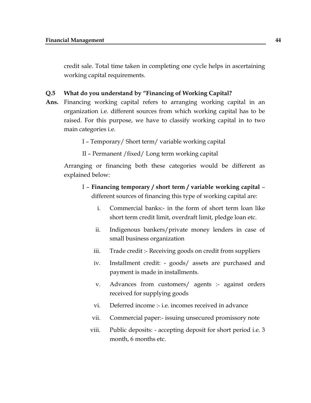credit sale. Total time taken in completing one cycle helps in ascertaining working capital requirements.

#### **Q.5 What do you understand by "Financing of Working Capital?**

**Ans.** Financing working capital refers to arranging working capital in an organization i.e. different sources from which working capital has to be raised. For this purpose, we have to classify working capital in to two main categories i.e.

I – Temporary/ Short term/ variable working capital

II – Permanent /fixed/ Long term working capital

Arranging or financing both these categories would be different as explained below:

- I **Financing temporary / short term / variable working capital** different sources of financing this type of working capital are:
	- i. Commercial banks:- in the form of short term loan like short term credit limit, overdraft limit, pledge loan etc.
	- ii. Indigenous bankers/private money lenders in case of small business organization
	- iii. Trade credit :- Receiving goods on credit from suppliers
	- iv. Installment credit: goods/ assets are purchased and payment is made in installments.
	- v. Advances from customers/ agents :- against orders received for supplying goods
	- vi. Deferred income :- i.e. incomes received in advance
	- vii. Commercial paper:- issuing unsecured promissory note
	- viii. Public deposits: accepting deposit for short period i.e. 3 month, 6 months etc.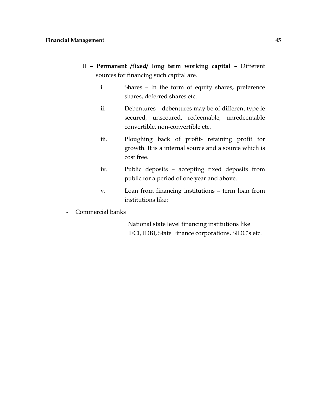- II **Permanent /fixed/ long term working capital** Different sources for financing such capital are.
	- i. Shares In the form of equity shares, preference shares, deferred shares etc.
	- ii. Debentures debentures may be of different type ie secured, unsecured, redeemable, unredeemable convertible, non-convertible etc.
	- iii. Ploughing back of profit- retaining profit for growth. It is a internal source and a source which is cost free.
	- iv. Public deposits accepting fixed deposits from public for a period of one year and above.
	- v. Loan from financing institutions term loan from institutions like:
- Commercial banks

National state level financing institutions like IFCI, IDBI, State Finance corporations, SIDC"s etc.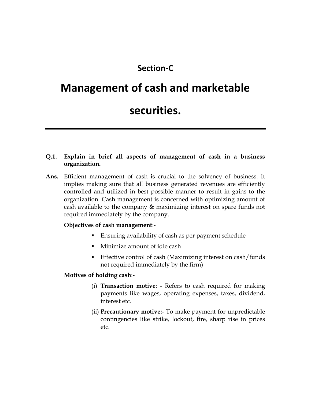# **Section-C**

# **Management of cash and marketable**

# **securities.**

# **Q.1. Explain in brief all aspects of management of cash in a business organization.**

**Ans.** Efficient management of cash is crucial to the solvency of business. It implies making sure that all business generated revenues are efficiently controlled and utilized in best possible manner to result in gains to the organization. Cash management is concerned with optimizing amount of cash available to the company & maximizing interest on spare funds not required immediately by the company.

# **Objectives of cash management**:-

- Ensuring availability of cash as per payment schedule
- Minimize amount of idle cash
- **Effective control of cash (Maximizing interest on cash/funds** not required immediately by the firm)

#### **Motives of holding cash**:-

- (i) **Transaction motive**: Refers to cash required for making payments like wages, operating expenses, taxes, dividend, interest etc.
- (ii) **Precautionary motive:** To make payment for unpredictable contingencies like strike, lockout, fire, sharp rise in prices etc.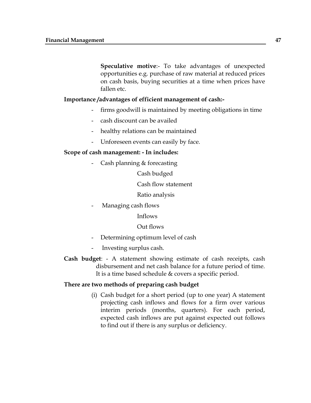**Speculative motive**:- To take advantages of unexpected opportunities e.g. purchase of raw material at reduced prices on cash basis, buying securities at a time when prices have fallen etc.

#### **Importance /advantages of efficient management of cash:-**

- firms goodwill is maintained by meeting obligations in time
- cash discount can be availed
- healthy relations can be maintained
- Unforeseen events can easily by face.

#### **Scope of cash management: - In includes:**

Cash planning & forecasting

Cash budged

Cash flow statement

Ratio analysis

- Managing cash flows

#### Inflows

#### Out flows

- Determining optimum level of cash
- Investing surplus cash.
- **Cash budget**: A statement showing estimate of cash receipts, cash disbursement and net cash balance for a future period of time. It is a time based schedule & covers a specific period.

#### **There are two methods of preparing cash budget**

(i) Cash budget for a short period (up to one year) A statement projecting cash inflows and flows for a firm over various interim periods (months, quarters). For each period, expected cash inflows are put against expected out follows to find out if there is any surplus or deficiency.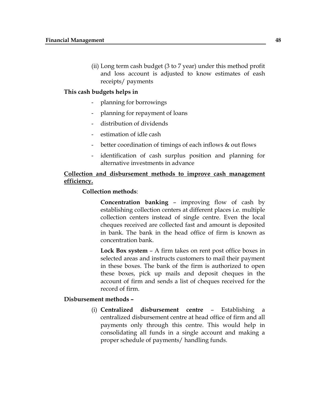(ii) Long term cash budget (3 to 7 year) under this method profit and loss account is adjusted to know estimates of eash receipts/ payments

#### **This cash budgets helps in**

- planning for borrowings
- planning for repayment of loans
- distribution of dividends
- estimation of idle cash
- better coordination of timings of each inflows & out flows
- identification of cash surplus position and planning for alternative investments in advance

# **Collection and disbursement methods to improve cash management efficiency.**

#### **Collection methods**:

**Concentration banking** – improving flow of cash by establishing collection centers at different places i.e. multiple collection centers instead of single centre. Even the local cheques received are collected fast and amount is deposited in bank. The bank in the head office of firm is known as concentration bank.

**Lock Box system** – A firm takes on rent post office boxes in selected areas and instructs customers to mail their payment in these boxes. The bank of the firm is authorized to open these boxes, pick up mails and deposit cheques in the account of firm and sends a list of cheques received for the record of firm.

#### **Disbursement methods –**

(i) **Centralized disbursement centre** – Establishing a centralized disbursement centre at head office of firm and all payments only through this centre. This would help in consolidating all funds in a single account and making a proper schedule of payments/ handling funds.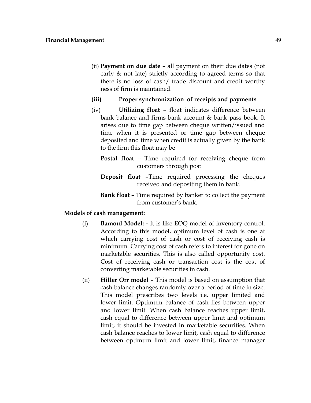- (ii) **Payment on due date** all payment on their due dates (not early & not late) strictly according to agreed terms so that there is no loss of cash/ trade discount and credit worthy ness of firm is maintained.
- **(iii) Proper synchronization of receipts and payments**
- (iv) **Utilizing float** float indicates difference between bank balance and firms bank account & bank pass book. It arises due to time gap between cheque written/issued and time when it is presented or time gap between cheque deposited and time when credit is actually given by the bank to the firm this float may be
	- **Postal float** Time required for receiving cheque from customers through post
	- **Deposit float** –Time required processing the cheques received and depositing them in bank.
	- **Bank float** Time required by banker to collect the payment from customer's bank.

#### **Models of cash management:**

- (i) **Bamoul Model: -** It is like EOQ model of inventory control. According to this model, optimum level of cash is one at which carrying cost of cash or cost of receiving cash is minimum. Carrying cost of cash refers to interest for gone on marketable securities. This is also called opportunity cost. Cost of receiving cash or transaction cost is the cost of converting marketable securities in cash.
- (ii) **Hiller Orr model** This model is based on assumption that cash balance changes randomly over a period of time in size. This model prescribes two levels i.e. upper limited and lower limit. Optimum balance of cash lies between upper and lower limit. When cash balance reaches upper limit, cash equal to difference between upper limit and optimum limit, it should be invested in marketable securities. When cash balance reaches to lower limit, cash equal to difference between optimum limit and lower limit, finance manager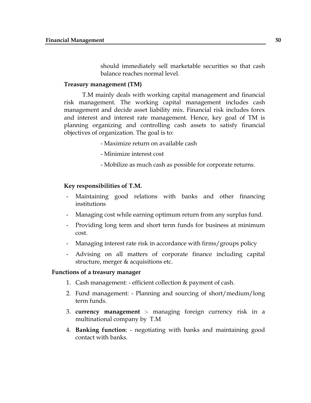should immediately sell marketable securities so that cash balance reaches normal level.

#### **Treasury management (TM)**

T.M mainly deals with working capital management and financial risk management. The working capital management includes cash management and decide asset liability mix. Financial risk includes forex and interest and interest rate management. Hence, key goal of TM is planning organizing and controlling cash assets to satisfy financial objectives of organization. The goal is to:

- Maximize return on available cash
- Minimize interest cost
- Mobilize as much cash as possible for corporate returns.

#### **Key responsibilities of T.M.**

- Maintaining good relations with banks and other financing institutions
- Managing cost while earning optimum return from any surplus fund.
- Providing long term and short term funds for business at minimum cost.
- Managing interest rate risk in accordance with firms/groups policy
- Advising on all matters of corporate finance including capital structure, merger & acquisitions etc.

#### **Functions of a treasury manager**

- 1. Cash management: efficient collection & payment of cash.
- 2. Fund management: Planning and sourcing of short/medium/long term funds.
- 3. **currency management** :- managing foreign currency risk in a multinational company by T.M
- 4. **Banking function**: negotiating with banks and maintaining good contact with banks.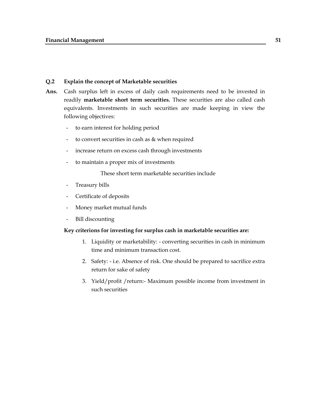#### **Q.2 Explain the concept of Marketable securities**

- **Ans.** Cash surplus left in excess of daily cash requirements need to be invested in readily **marketable short term securities.** These securities are also called cash equivalents. Investments in such securities are made keeping in view the following objectives:
	- to earn interest for holding period
	- to convert securities in cash as & when required
	- increase return on excess cash through investments
	- to maintain a proper mix of investments

These short term marketable securities include

- Treasury bills
- Certificate of deposits
- Money market mutual funds
- Bill discounting

#### **Key criterions for investing for surplus cash in marketable securities are:**

- 1. Liquidity or marketability: converting securities in cash in minimum time and minimum transaction cost.
- 2. Safety: i.e. Absence of risk. One should be prepared to sacrifice extra return for sake of safety
- 3. Yield/profit /return:- Maximum possible income from investment in such securities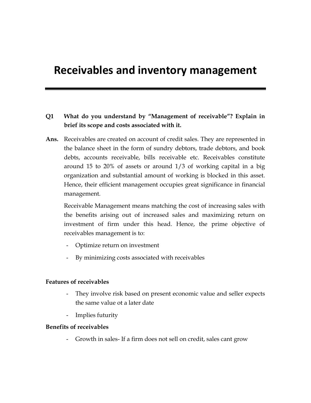# **Receivables and inventory management**

# **Q1 What do you understand by "Management of receivable"? Explain in brief its scope and costs associated with it.**

**Ans.** Receivables are created on account of credit sales. They are represented in the balance sheet in the form of sundry debtors, trade debtors, and book debts, accounts receivable, bills receivable etc. Receivables constitute around 15 to 20% of assets or around 1/3 of working capital in a big organization and substantial amount of working is blocked in this asset. Hence, their efficient management occupies great significance in financial management.

Receivable Management means matching the cost of increasing sales with the benefits arising out of increased sales and maximizing return on investment of firm under this head. Hence, the prime objective of receivables management is to:

- Optimize return on investment
- By minimizing costs associated with receivables

#### **Features of receivables**

- They involve risk based on present economic value and seller expects the same value ot a later date
- Implies futurity

#### **Benefits of receivables**

- Growth in sales- If a firm does not sell on credit, sales cant grow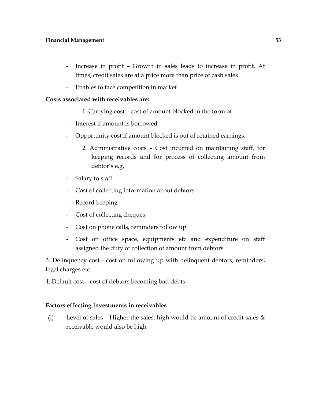- Increase in profit Growth in sales leads to increase in profit. At times, credit sales are at a price more than price of cash sales
- Enables to face competition in market

#### **Costs associated with receivables are:**

- 1. Carrying cost cost of amount blocked in the form of
- Interest if amount is borrowed
- Opportunity cost if amount blocked is out of retained earnings.
	- 2. Administrative costs Cost incurred on maintaining staff, for keeping records and for process of collecting amount from debtor's e.g.
- Salary to staff
- Cost of collecting information about debtors
- Record keeping
- Cost of collecting cheques
- Cost on phone calls, reminders follow up
- Cost on office space, equipments etc and expenditure on staff assigned the duty of collection of amount from debtors.

3. Delinquency cost - cost on following up with delinquent debtors, reminders, legal charges etc.

4. Default cost – cost of debtors becoming bad debts

#### **Factors effecting investments in receivables**

(i) Level of sales – Higher the sales, high would be amount of credit sales  $\&$ receivable would also be high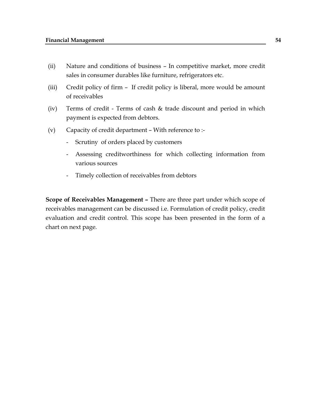- (ii) Nature and conditions of business In competitive market, more credit sales in consumer durables like furniture, refrigerators etc.
- (iii) Credit policy of firm If credit policy is liberal, more would be amount of receivables
- (iv) Terms of credit Terms of cash & trade discount and period in which payment is expected from debtors.
- (v) Capacity of credit department With reference to :-
	- Scrutiny of orders placed by customers
	- Assessing creditworthiness for which collecting information from various sources
	- Timely collection of receivables from debtors

**Scope of Receivables Management –** There are three part under which scope of receivables management can be discussed i.e. Formulation of credit policy, credit evaluation and credit control. This scope has been presented in the form of a chart on next page.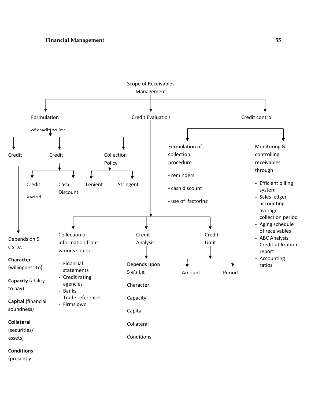

#### **Conditions**

(presently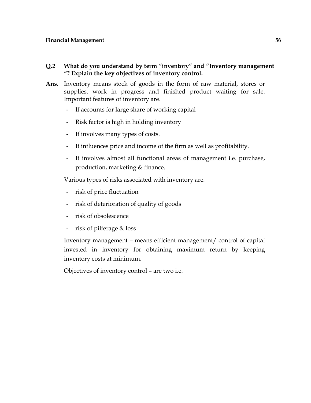#### **Q.2 What do you understand by term "inventory" and "Inventory management "? Explain the key objectives of inventory control.**

- **Ans.** Inventory means stock of goods in the form of raw material, stores or supplies, work in progress and finished product waiting for sale. Important features of inventory are.
	- If accounts for large share of working capital
	- Risk factor is high in holding inventory
	- If involves many types of costs.
	- It influences price and income of the firm as well as profitability.
	- It involves almost all functional areas of management i.e. purchase, production, marketing & finance.

Various types of risks associated with inventory are.

- risk of price fluctuation
- risk of deterioration of quality of goods
- risk of obsolescence
- risk of pilferage & loss

Inventory management – means efficient management/ control of capital invested in inventory for obtaining maximum return by keeping inventory costs at minimum.

Objectives of inventory control – are two i.e.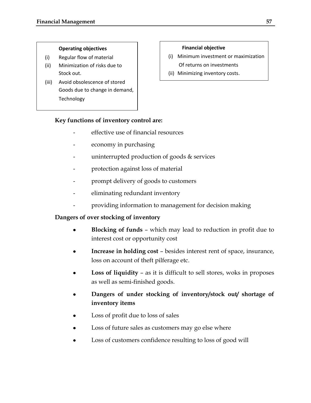#### **Operating objectives**

- (i) Regular flow of material
- (ii) Minimization of risks due to Stock out.
- (iii) Avoid obsolescence of stored Goods due to change in demand, Technology

#### **Financial objective**

- (i) Minimum investment or maximization Of returns on investments
- (ii) Minimizing inventory costs.

# **Key functions of inventory control are:**

- effective use of financial resources
- economy in purchasing
- uninterrupted production of goods  $&$  services
- protection against loss of material
- prompt delivery of goods to customers
- eliminating redundant inventory
- providing information to management for decision making

# **Dangers of over stocking of inventory**

- **Blocking of funds** which may lead to reduction in profit due to interest cost or opportunity cost
- **Increase in holding cost** besides interest rent of space, insurance, loss on account of theft pilferage etc.
- **Loss of liquidity** as it is difficult to sell stores, woks in proposes as well as semi-finished goods.
- **Dangers of under stocking of inventory/stock out/ shortage of inventory items**
- Loss of profit due to loss of sales
- Loss of future sales as customers may go else where
- Loss of customers confidence resulting to loss of good will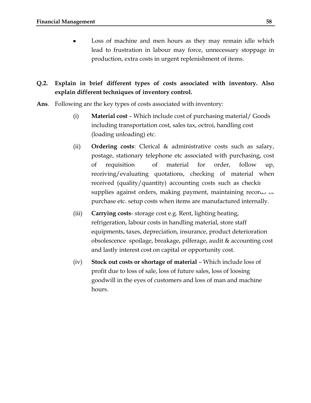Loss of machine and men hours as they may remain idle which lead to frustration in labour may force, unnecessary stoppage in production, extra costs in urgent replenishment of items.

# **Q.2. Explain in brief different types of costs associated with inventory. Also explain different techniques of inventory control.**

- **Ans**. Following are the key types of costs associated with inventory:
	- (i) **Material cost** Which include cost of purchasing material/ Goods including transportation cost, sales tax, octroi, handling cost (loading unloading) etc.
	- (ii) **Ordering costs**: Clerical & administrative costs such as salary, postage, stationary telephone etc associated with purchasing, cost of requisition of material for order, follow up, receiving/evaluating quotations, checking of material when received (quality/quantity) accounting costs such as checking supplies against orders, making payment, maintaining recor $\omega$ ,  $\omega$ purchase etc. setup costs when items are manufactured internally.
	- (iii) **Carrying costs** storage cost e.g. Rent, lighting heating, refrigeration, labour costs in handling material, store staff equipments, taxes, depreciation, insurance, product deterioration obsolescence spoilage, breakage, pilferage, audit & accounting cost and lastly interest cost on capital or opportunity cost.
	- (iv) **Stock out costs or shortage of material** Which include loss of profit due to loss of sale, loss of future sales, loss of loosing goodwill in the eyes of customers and loss of man and machine hours.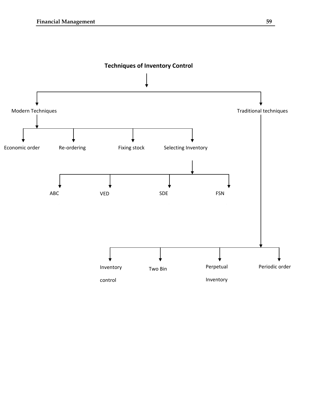

**Techniques of Inventory Control**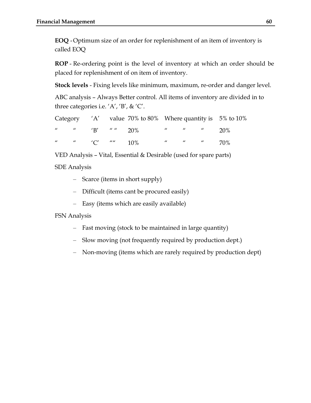**EOQ** -Optimum size of an order for replenishment of an item of inventory is called EOQ

**ROP** - Re-ordering point is the level of inventory at which an order should be placed for replenishment of on item of inventory.

**Stock levels** - Fixing levels like minimum, maximum, re-order and danger level.

ABC analysis – Always Better control. All items of inventory are divided in to three categories i.e.  $'A'$ ,  $'B'$ ,  $\& C'$ .

|  |                                     | Category $'A'$ value 70% to 80% Where quantity is 5% to 10% |  |                          |  |
|--|-------------------------------------|-------------------------------------------------------------|--|--------------------------|--|
|  |                                     |                                                             |  |                          |  |
|  | $\mu$ $\mu$ $\{C'}$ $\mu\mu$ $10\%$ |                                                             |  | $\mu$ $\mu$ $\mu$ $70\%$ |  |

VED Analysis – Vital, Essential & Desirable (used for spare parts)

SDE Analysis

- Scarce (items in short supply)
- Difficult (items cant be procured easily)
- Easy (items which are easily available)

FSN Analysis

- Fast moving (stock to be maintained in large quantity)
- Slow moving (not frequently required by production dept.)
- Non-moving (items which are rarely required by production dept)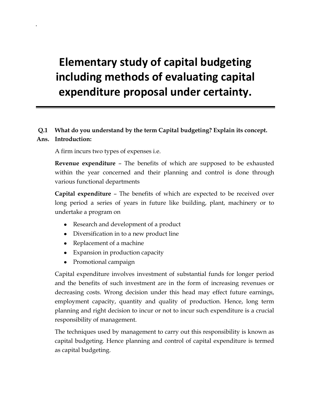# **Elementary study of capital budgeting including methods of evaluating capital expenditure proposal under certainty.**

# **Q.1 What do you understand by the term Capital budgeting? Explain its concept.**

## **Ans. Introduction:**

A firm incurs two types of expenses i.e.

**Revenue expenditure** – The benefits of which are supposed to be exhausted within the year concerned and their planning and control is done through various functional departments

**Capital expenditure** – The benefits of which are expected to be received over long period a series of years in future like building, plant, machinery or to undertake a program on

- Research and development of a product
- Diversification in to a new product line
- Replacement of a machine
- Expansion in production capacity
- Promotional campaign

Capital expenditure involves investment of substantial funds for longer period and the benefits of such investment are in the form of increasing revenues or decreasing costs. Wrong decision under this head may effect future earnings, employment capacity, quantity and quality of production. Hence, long term planning and right decision to incur or not to incur such expenditure is a crucial responsibility of management.

The techniques used by management to carry out this responsibility is known as capital budgeting. Hence planning and control of capital expenditure is termed as capital budgeting.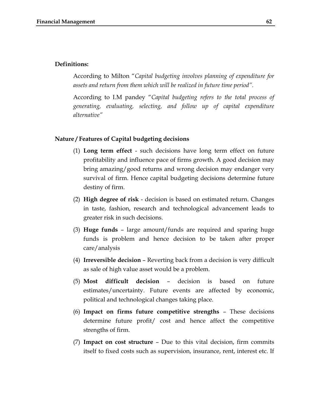#### **Definitions:**

According to Milton "*Capital budgeting involves planning of expenditure for assets and return from them which will be realized in future time period".*

According to I.M pandey "*Capital budgeting refers to the total process of generating, evaluating, selecting, and follow up of capital expenditure alternative"*

#### **Nature / Features of Capital budgeting decisions**

- (1) **Long term effect** such decisions have long term effect on future profitability and influence pace of firms growth. A good decision may bring amazing/good returns and wrong decision may endanger very survival of firm. Hence capital budgeting decisions determine future destiny of firm.
- (2) **High degree of risk** decision is based on estimated return. Changes in taste, fashion, research and technological advancement leads to greater risk in such decisions.
- (3) **Huge funds** large amount/funds are required and sparing huge funds is problem and hence decision to be taken after proper care/analysis
- (4) **Irreversible decision** Reverting back from a decision is very difficult as sale of high value asset would be a problem.
- (5) **Most difficult decision** decision is based on future estimates/uncertainty. Future events are affected by economic, political and technological changes taking place.
- (6) **Impact on firms future competitive strengths** These decisions determine future profit/ cost and hence affect the competitive strengths of firm.
- (7) **Impact on cost structure** Due to this vital decision, firm commits itself to fixed costs such as supervision, insurance, rent, interest etc. If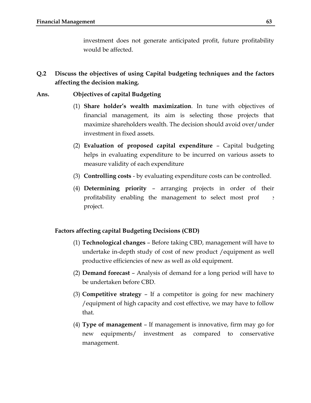investment does not generate anticipated profit, future profitability would be affected.

**Q.2 Discuss the objectives of using Capital budgeting techniques and the factors affecting the decision making.**

## **Ans. Objectives of capital Budgeting**

- (1) **Share holder's wealth maximization**. In tune with objectives of financial management, its aim is selecting those projects that maximize shareholders wealth. The decision should avoid over/under investment in fixed assets.
- (2) **Evaluation of proposed capital expenditure** Capital budgeting helps in evaluating expenditure to be incurred on various assets to measure validity of each expenditure
- (3) **Controlling costs**  by evaluating expenditure costs can be controlled.
- (4) **Determining priority** arranging projects in order of their profitability enabling the management to select most prof project.

#### **Factors affecting capital Budgeting Decisions (CBD)**

- (1) **Technological changes** Before taking CBD, management will have to undertake in-depth study of cost of new product /equipment as well productive efficiencies of new as well as old equipment.
- (2) **Demand forecast** Analysis of demand for a long period will have to be undertaken before CBD.
- (3) **Competitive strategy** If a competitor is going for new machinery /equipment of high capacity and cost effective, we may have to follow that.
- (4) **Type of management** If management is innovative, firm may go for new equipments/ investment as compared to conservative management.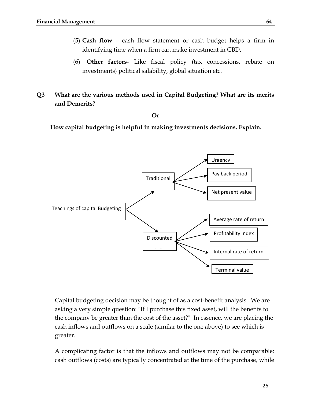- (5) **Cash flow** cash flow statement or cash budget helps a firm in identifying time when a firm can make investment in CBD.
- (6) **Other factors** Like fiscal policy (tax concessions, rebate on investments) political salability, global situation etc.
- **Q3 What are the various methods used in Capital Budgeting? What are its merits and Demerits?**

**Or**

 **How capital budgeting is helpful in making investments decisions. Explain.**



Capital budgeting decision may be thought of as a cost-benefit analysis. We are asking a very simple question: "If I purchase this fixed asset, will the benefits to the company be greater than the cost of the asset?" In essence, we are placing the cash inflows and outflows on a scale (similar to the one above) to see which is greater.

A complicating factor is that the inflows and outflows may not be comparable: cash outflows (costs) are typically concentrated at the time of the purchase, while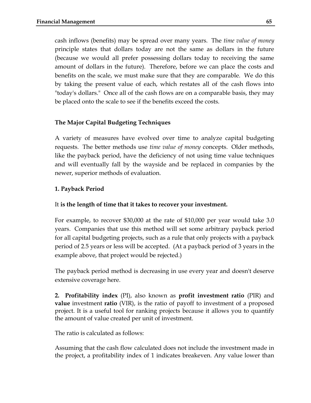cash inflows (benefits) may be spread over many years. The *[time value of money](http://campus.murraystate.edu/academic/faculty/lguin/FIN330/Time%20Value.htm)* principle states that dollars today are not the same as dollars in the future (because we would all prefer possessing dollars today to receiving the same amount of dollars in the future). Therefore, before we can place the costs and benefits on the scale, we must make sure that they are comparable. We do this by taking the present value of each, which restates all of the cash flows into "today's dollars." Once all of the cash flows are on a comparable basis, they may be placed onto the scale to see if the benefits exceed the costs.

## **The Major Capital Budgeting Techniques**

A variety of measures have evolved over time to analyze capital budgeting requests. The better methods use *time value of money* concepts. Older methods, like the payback period, have the deficiency of not using time value techniques and will eventually fall by the wayside and be replaced in companies by the newer, superior methods of evaluation.

# **1. Payback Period**

# It **is the length of time that it takes to recover your investment.**

For example, to recover \$30,000 at the rate of \$10,000 per year would take 3.0 years. Companies that use this method will set some arbitrary payback period for all capital budgeting projects, such as a rule that only projects with a payback period of 2.5 years or less will be accepted. (At a payback period of 3 years in the example above, that project would be rejected.)

The payback period method is decreasing in use every year and doesn't deserve extensive coverage here.

**2. Profitability index** (PI), also known as **profit investment ratio** (PIR) and **value** investment **ratio** (VIR), is the ratio of payoff to investment of a proposed project. It is a useful tool for ranking projects because it allows you to quantify the amount of value created per unit of investment.

The ratio is calculated as follows:

Assuming that the [cash flow](http://en.wikipedia.org/wiki/Cash_flow) calculated does not include the investment made in the project, a profitability index of 1 indicates breakeven. Any value lower than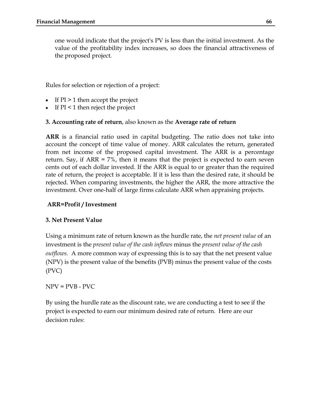one would indicate that the project's [PV](http://en.wikipedia.org/wiki/Present_value) is less than the initial investment. As the value of the profitability index increases, so does the financial attractiveness of the proposed project.

Rules for selection or rejection of a project:

- If  $PI > 1$  then accept the project
- If  $PI \leq 1$  then reject the project

# **3. Accounting rate of return**, also known as the **Average rate of return**

**ARR** is a financial ratio used in [capital budgeting.](http://en.wikipedia.org/wiki/Capital_budgeting) The ratio does not take into account the concept of [time value of money.](http://en.wikipedia.org/wiki/Time_value_of_money) ARR calculates the return, generated from net income of the proposed capital investment. The ARR is a percentage return. Say, if ARR = 7%, then it means that the project is expected to earn seven cents out of each dollar invested. If the ARR is equal to or greater than the required rate of return, the project is acceptable. If it is less than the desired rate, it should be rejected. When comparing investments, the higher the ARR, the more attractive the investment. Over one-half of large firms calculate ARR when appraising projects.

# **ARR=Profit / Investment**

# **3. Net Present Value**

Using a minimum rate of return known as the [hurdle rate, t](http://campus.murraystate.edu/academic/faculty/lguin/FIN330/HurdleRate.htm)he *net present value* of an investment is the *present value of the cash inflows* minus the *present value of the cash outflows.* A more common way of expressing this is to say that the net present value (NPV) is the present value of the benefits (PVB) minus the present value of the costs (PVC)

 $NPV = PVB - PVC$ 

By using the hurdle rate as the discount rate, we are conducting a test to see if the project is expected to earn our minimum desired rate of return. Here are our decision rules: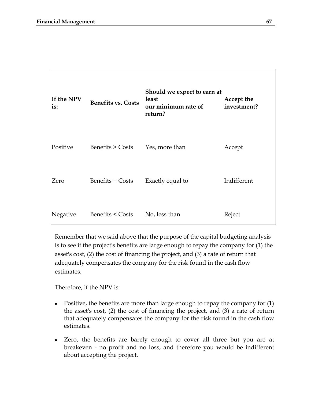| If the NPV<br>is: | <b>Benefits vs. Costs</b>       | Should we expect to earn at<br>least<br>our minimum rate of<br>return? | Accept the<br>investment? |
|-------------------|---------------------------------|------------------------------------------------------------------------|---------------------------|
| Positive          | Benefits > Costs Yes, more than |                                                                        | Accept                    |
| Zero              | Benefits = Costs                | Exactly equal to                                                       | Indifferent               |
| Negative          | Benefits < Costs                | No, less than                                                          | Reject                    |

Remember that we said above that the purpose of the capital budgeting analysis is to see if the project's benefits are large enough to repay the company for (1) the asset's cost, (2) the cost of financing the project, and (3) a rate of return that adequately compensates the company for the risk found in the cash flow estimates.

Therefore, if the NPV is:

- $\bullet$ Positive, the benefits are more than large enough to repay the company for (1) the asset's cost, (2) the cost of financing the project, and (3) a rate of return that adequately compensates the company for the risk found in the cash flow estimates.
- Zero, the benefits are barely enough to cover all three but you are at breakeven - no profit and no loss, and therefore you would be indifferent about accepting the project.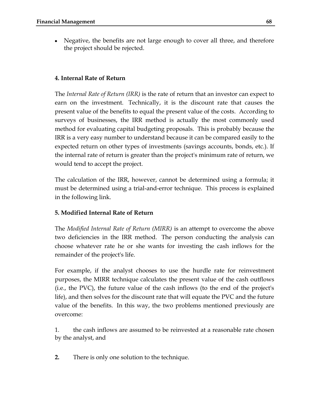• Negative, the benefits are not large enough to cover all three, and therefore the project should be rejected.

## **4. Internal Rate of Return**

The *Internal Rate of Return (IRR)* is the rate of return that an investor can expect to earn on the investment. Technically, it is the discount rate that causes the present value of the benefits to equal the present value of the costs. According to surveys of businesses, the IRR method is actually the most commonly used method for evaluating capital budgeting proposals. This is probably because the IRR is a very easy number to understand because it can be compared easily to the expected return on other types of investments (savings accounts, bonds, etc.). If the internal rate of return is greater than the project's minimum rate of return, we would tend to accept the project.

The calculation of the IRR, however, cannot be determined using a formula; it must be determined using a trial-and-error technique. This process is explained in the following link.

# **5. Modified Internal Rate of Return**

The *Modified Internal Rate of Return (MIRR)* is an attempt to overcome the above two deficiencies in the IRR method. The person conducting the analysis can choose whatever rate he or she wants for investing the cash inflows for the remainder of the project's life.

For example, if the analyst chooses to use the hurdle rate for reinvestment purposes, the MIRR technique calculates the present value of the cash outflows (i.e., the PVC), the future value of the cash inflows (to the end of the project's life), and then solves for the discount rate that will equate the PVC and the future value of the benefits. In this way, the two problems mentioned previously are overcome:

1. the cash inflows are assumed to be reinvested at a reasonable rate chosen by the analyst, and

**2.** There is only one solution to the technique.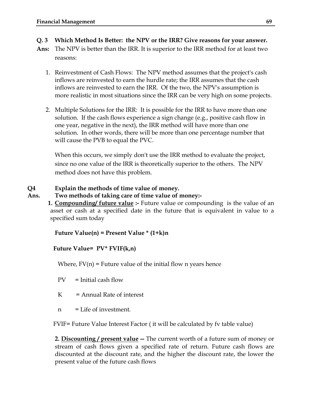- **Q. 3 Which Method Is Better: the NPV or the IRR? Give reasons for your answer.**
- **Ans:** The NPV is better than the IRR. It is superior to the IRR method for at least two reasons:
	- 1. Reinvestment of Cash Flows: The NPV method assumes that the project's cash inflows are reinvested to earn the hurdle rate; the IRR assumes that the cash inflows are reinvested to earn the IRR. Of the two, the NPV's assumption is more realistic in most situations since the IRR can be very high on some projects.
	- 2. Multiple Solutions for the IRR: It is possible for the IRR to have more than one solution. If the cash flows experience a sign change (e.g., positive cash flow in one year, negative in the next), the IRR method will have more than one solution. In other words, there will be more than one percentage number that will cause the PVB to equal the PVC.

When this occurs, we simply don't use the IRR method to evaluate the project, since no one value of the IRR is theoretically superior to the others. The NPV method does not have this problem.

# **Q4 Explain the methods of time value of money.**

- **Ans. Two methods of taking care of time value of money:-**
	- **1. Compounding/ future value :-** Future value or compounding is the value of an asset or cash at a specified date in the future that is equivalent in value to a specified sum today

 **Future Value(n) = Present Value \* (1+k)n**

#### **Future Value= PV\* FVIF(k,n)**

Where, FV(n) = Future value of the initial flow n years hence

- $PV = Initial cash flow$
- $K =$ Annual Rate of interest
- n = Life of investment.

FVIF= Future Value Interest Factor ( it will be calculated by fv table value)

**2. Discounting / present value --** The current worth of a future sum of money or stream of cash flows given a specified rate of return. Future cash flows are discounted at the discount rate, and the higher the discount rate, the lower the present value of the future cash flows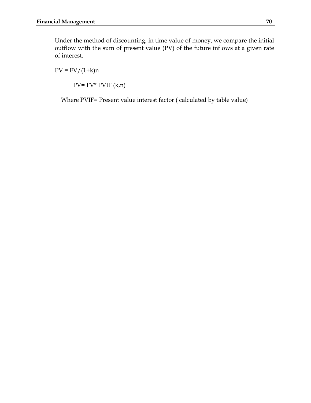Under the method of discounting, in time value of money, we compare the initial outflow with the sum of present value (PV) of the future inflows at a given rate of interest.

 $PV = FV/(1+k)n$ 

 $PV= FV^* PVIF (k,n)$ 

Where PVIF= Present value interest factor ( calculated by table value)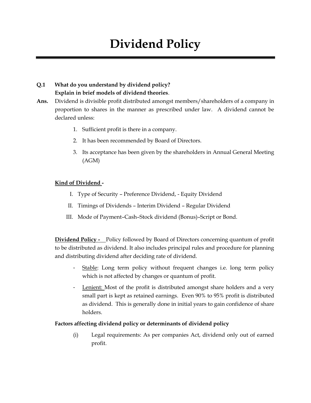# **Dividend Policy**

# **Q.1 What do you understand by dividend policy? Explain in brief models of dividend theories**.

- **Ans.** Dividend is divisible profit distributed amongst members/shareholders of a company in proportion to shares in the manner as prescribed under law. A dividend cannot be declared unless:
	- 1. Sufficient profit is there in a company.
	- 2. It has been recommended by Board of Directors.
	- 3. Its acceptance has been given by the shareholders in Annual General Meeting (AGM)

#### **Kind of Dividend -**

- I. Type of Security Preference Dividend, Equity Dividend
- II. Timings of Dividends Interim Dividend Regular Dividend
- III. Mode of Payment–Cash–Stock dividend (Bonus)–Script or Bond.

**Dividend Policy -** Policy followed by Board of Directors concerning quantum of profit to be distributed as dividend. It also includes principal rules and procedure for planning and distributing dividend after deciding rate of dividend.

- Stable: Long term policy without frequent changes i.e. long term policy which is not affected by changes or quantum of profit.
- Lenient: Most of the profit is distributed amongst share holders and a very small part is kept as retained earnings. Even 90% to 95% profit is distributed as dividend. This is generally done in initial years to gain confidence of share holders.

#### **Factors affecting dividend policy or determinants of dividend policy**

(i) Legal requirements: As per companies Act, dividend only out of earned profit.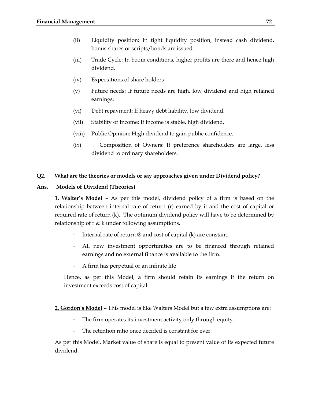- (ii) Liquidity position: In tight liquidity position, instead cash dividend, bonus shares or scripts/bonds are issued.
- (iii) Trade Cycle: In boom conditions, higher profits are there and hence high dividend.
- (iv) Expectations of share holders
- (v) Future needs: If future needs are high, low dividend and high retained earnings.
- (vi) Debt repayment: If heavy debt liability, low dividend.
- (vii) Stability of Income: If income is stable, high dividend.
- (viii) Public Opinion: High dividend to gain public confidence.
- (ix) Composition of Owners: If preference shareholders are large, less dividend to ordinary shareholders.

#### **Q2. What are the theories or models or say approaches given under Dividend policy?**

#### **Ans. Models of Dividend (Theories)**

**1. Walter's Model** – As per this model, dividend policy of a firm is based on the relationship between internal rate of return (r) earned by it and the cost of capital or required rate of return (k). The optimum dividend policy will have to be determined by relationship of  $r \& k$  under following assumptions.

- Internal rate of return  $\mathcal D$  and cost of capital (k) are constant.
- All new investment opportunities are to be financed through retained earnings and no external finance is available to the firm.
- A firm has perpetual or an infinite life

Hence, as per this Model, a firm should retain its earnings if the return on investment exceeds cost of capital.

#### **2. Gordon's Model** – This model is like Walters Model but a few extra assumptions are:

- The firm operates its investment activity only through equity.
- The retention ratio once decided is constant for ever.

As per this Model, Market value of share is equal to present value of its expected future dividend.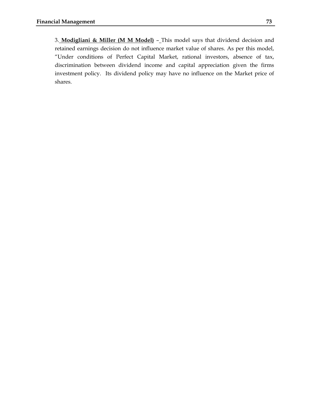3. **Modigliani & Miller (M M Model)** – This model says that dividend decision and retained earnings decision do not influence market value of shares. As per this model, "Under conditions of Perfect Capital Market, rational investors, absence of tax, discrimination between dividend income and capital appreciation given the firms investment policy. Its dividend policy may have no influence on the Market price of shares.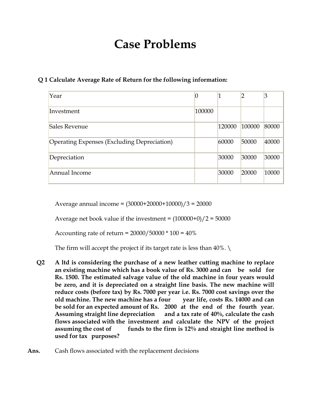# **Case Problems**

### **Q 1 Calculate Average Rate of Return for the following information:**

| Year                                        |        |        | າ      | 3     |
|---------------------------------------------|--------|--------|--------|-------|
| Investment                                  | 100000 |        |        |       |
| Sales Revenue                               |        | 120000 | 100000 | 80000 |
| Operating Expenses (Excluding Depreciation) |        | 60000  | 50000  | 40000 |
| Depreciation                                |        | 30000  | 30000  | 30000 |
| Annual Income                               |        | 30000  | 20000  | 10000 |

Average annual income = (30000+20000+10000)/3 = 20000

Average net book value if the investment =  $(100000+0)/2 = 50000$ 

Accounting rate of return =  $20000/50000 * 100 = 40\%$ 

The firm will accept the project if its target rate is less than  $40\%$ .

**Q2 A ltd is considering the purchase of a new leather cutting machine to replace an existing machine which has a book value of Rs. 3000 and can be sold for Rs. 1500. The estimated salvage value of the old machine in four years would be zero, and it is depreciated on a straight line basis. The new machine will reduce costs (before tax) by Rs. 7000 per year i.e. Rs. 7000 cost savings over the old machine. The new machine has a four year life, costs Rs. 14000 and can be sold for an expected amount of Rs. 2000 at the end of the fourth year. Assuming straight line depreciation and a tax rate of 40%, calculate the cash flows associated with the investment and calculate the NPV of the project assuming the cost of funds to the firm is 12% and straight line method is used for tax purposes?**

**Ans.** Cash flows associated with the replacement decisions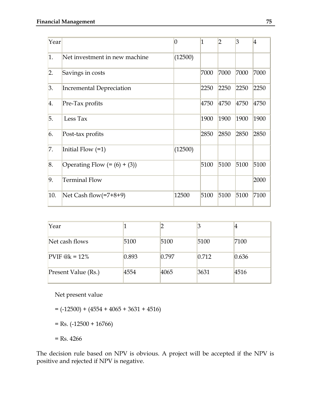| Year |                                 | 0       | $\overline{1}$ | $\overline{2}$ | $\overline{3}$ | 4    |
|------|---------------------------------|---------|----------------|----------------|----------------|------|
| 1.   | Net investment in new machine   | (12500) |                |                |                |      |
| 2.   | Savings in costs                |         | 7000           | 7000           | 7000           | 7000 |
| 3.   | <b>Incremental Depreciation</b> |         | 2250           | 2250           | 2250           | 2250 |
| 4.   | Pre-Tax profits                 |         | 4750           | 4750           | 4750           | 4750 |
| 5.   | Less Tax                        |         | 1900           | 1900           | 1900           | 1900 |
| 6.   | Post-tax profits                |         | 2850           | 2850           | 2850           | 2850 |
| 7.   | Initial Flow $(=1)$             | (12500) |                |                |                |      |
| 8.   | Operating Flow $(=(6) + (3))$   |         | 5100           | 5100           | 5100           | 5100 |
| 9.   | <b>Terminal Flow</b>            |         |                |                |                | 2000 |
| 10.  | Net Cash flow(=7+8+9)           | 12500   | 5100           | 5100           | 5100           | 7100 |

| Year                |       |       |       |       |
|---------------------|-------|-------|-------|-------|
| Net cash flows      | 5100  | 5100  | 5100  | 7100  |
| PVIF $@k = 12\%$    | 0.893 | 0.797 | 0.712 | 0.636 |
| Present Value (Rs.) | 4554  | 4065  | 3631  | 4516  |

Net present value

 $= (-12500) + (4554 + 4065 + 3631 + 4516)$ 

- $=$  Rs. (-12500 + 16766)
- $=$  Rs. 4266

The decision rule based on NPV is obvious. A project will be accepted if the NPV is positive and rejected if NPV is negative.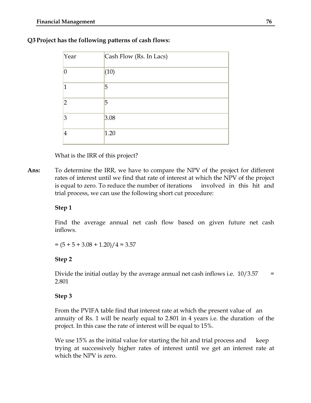| Year           | Cash Flow (Rs. In Lacs) |
|----------------|-------------------------|
| $\overline{0}$ | (10)                    |
| $\overline{1}$ | 5                       |
| $\overline{2}$ | 5                       |
| 3              | 3.08                    |
| $\overline{4}$ | 1.20                    |

## **Q3 Project has the following patterns of cash flows:**

What is the IRR of this project?

**Ans:** To determine the IRR, we have to compare the NPV of the project for different rates of interest until we find that rate of interest at which the NPV of the project is equal to zero. To reduce the number of iterations involved in this hit and trial process, we can use the following short cut procedure:

### **Step 1**

Find the average annual net cash flow based on given future net cash inflows.

 $= (5 + 5 + 3.08 + 1.20)/4 = 3.57$ 

### **Step 2**

Divide the initial outlay by the average annual net cash inflows i.e.  $10/3.57 =$ 2.801

### **Step 3**

From the PVIFA table find that interest rate at which the present value of an annuity of Rs. 1 will be nearly equal to 2.801 in 4 years i.e. the duration of the project. In this case the rate of interest will be equal to 15%.

We use 15% as the initial value for starting the hit and trial process and keep trying at successively higher rates of interest until we get an interest rate at which the NPV is zero.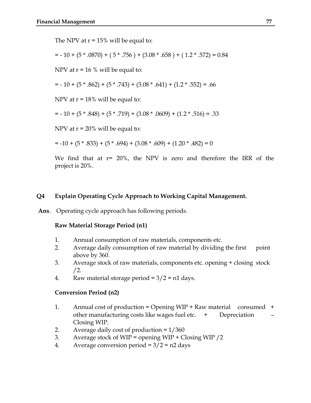The NPV at  $r = 15\%$  will be equal to:

 $= -10 + (5 * .0870) + (5 * .756) + (3.08 * .658) + (1.2 * .572) = 0.84$ 

NPV at  $r = 16$  % will be equal to:

 $= -10 + (5 * .862) + (5 * .743) + (3.08 * .641) + (1.2 * .552) = .66$ 

NPV at  $r = 18\%$  will be equal to:

 $= -10 + (5*.848) + (5*.719) + (3.08*.0609) + (1.2*.516) = .33$ 

NPV at  $r = 20\%$  will be equal to:

 $= -10 + (5 * .833) + (5 * .694) + (3.08 * .609) + (1.20 * .482) = 0$ 

We find that at r= 20%, the NPV is zero and therefore the IRR of the project is 20%.

### **Q4 Explain Operating Cycle Approach to Working Capital Management.**

**Ans**. Operating cycle approach has following periods.

### **Raw Material Storage Period (n1)**

- 1. Annual consumption of raw materials, components etc.
- 2. Average daily consumption of raw material by dividing the first point above by 360.
- 3. Average stock of raw materials, components etc. opening + closing stock /2.
- 4. Raw material storage period =  $3/2$  = n1 days.

#### **Conversion Period (n2)**

- 1. Annual cost of production = Opening WIP + Raw material consumed + other manufacturing costs like wages fuel etc.  $+$  Depreciation Closing WIP.
- 2. Average daily cost of production = 1/360
- 3. Average stock of WIP = opening WIP + Closing WIP /2
- 4. Average conversion period =  $3/2$  =  $n2$  days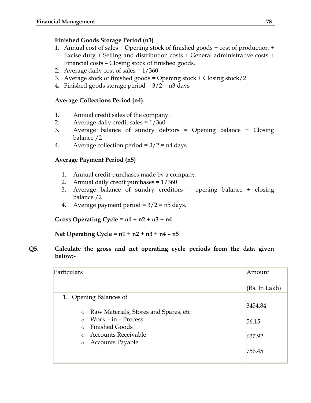## **Finished Goods Storage Period (n3)**

- 1. Annual cost of sales = Opening stock of finished goods + cost of production + Excise duty + Selling and distribution costs + General administrative costs + Financial costs – Closing stock of finished goods.
- 2. Average daily cost of sales = 1/360
- 3. Average stock of finished goods = Opening stock + Closing stock/2
- 4. Finished goods storage period  $= 3/2 = n3$  days

## **Average Collections Period (n4)**

- 1. Annual credit sales of the company.
- 2. Average daily credit sales = 1/360
- 3. Average balance of sundry debtors = Opening balance + Closing balance /2
- 4. Average collection period =  $3/2$  = n4 days

## **Average Payment Period (n5)**

- 1. Annual credit purchases made by a company.
- 2. Annual daily credit purchases = 1/360
- 3. Average balance of sundry creditors = opening balance + closing balance /2
- 4. Average payment period =  $3/2$  =  $n5$  days.

**Gross Operating Cycle = n1 + n2 + n3 + n4**

**Net Operating Cycle = n1 + n2 + n3 + n4 – n5**

**Q5. Calculate the gross and net operating cycle periods from the data given below:-**

| Particulars                                       | Amount        |
|---------------------------------------------------|---------------|
|                                                   | (Rs. In Lakh) |
| 1. Opening Balances of                            |               |
| Raw Materials, Stores and Spares, etc.<br>$\circ$ | 3454.84       |
| Work - in - Process                               | 56.15         |
| <b>Finished Goods</b>                             |               |
| <b>Accounts Receivable</b>                        | 637.92        |
| <b>Accounts Payable</b><br>$\circ$                | 756.45        |
|                                                   |               |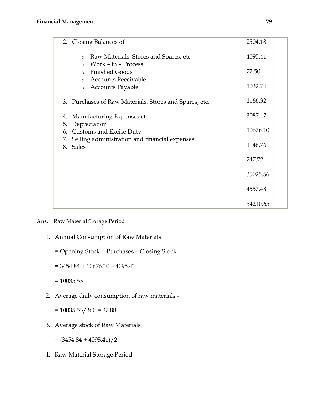| 2. Closing Balances of                                                                                                        | 2504.18  |
|-------------------------------------------------------------------------------------------------------------------------------|----------|
| Raw Materials, Stores and Spares, etc<br>$\circ$                                                                              | 4095.41  |
| Work - in - Process<br>$\Omega$<br><b>Finished Goods</b><br>$\circ$                                                           | 72.50    |
| <b>Accounts Receivable</b><br>$\Omega$<br><b>Accounts Payable</b><br>$\circ$                                                  | 1032.74  |
|                                                                                                                               |          |
| 3. Purchases of Raw Materials, Stores and Spares, etc.                                                                        | 1166.32  |
| Manufacturing Expenses etc.<br>4.                                                                                             | 3087.47  |
| Depreciation<br>5.<br><b>Customs and Excise Duty</b><br>6.<br>Selling administration and financial expenses<br>7.<br>8. Sales | 10676.10 |
|                                                                                                                               | 1146.76  |
|                                                                                                                               | 247.72   |
|                                                                                                                               | 35025.56 |
|                                                                                                                               | 4557.48  |
|                                                                                                                               | 54210.65 |

- **Ans.** Raw Material Storage Period
	- 1. Annual Consumption of Raw Materials
		- = Opening Stock + Purchases Closing Stock
		- $= 3454.84 + 10676.10 4095.41$
		- $= 10035.53$
	- 2. Average daily consumption of raw materials:-
		- $= 10035.53/360 = 27.88$
	- 3. Average stock of Raw Materials
		- $=(3454.84 + 4095.41)/2$
	- 4. Raw Material Storage Period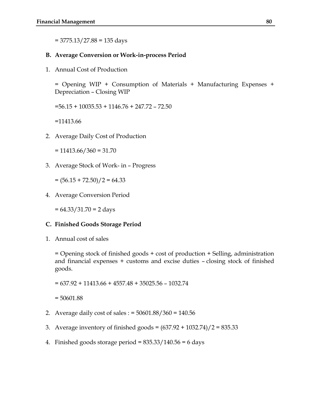$= 3775.13 / 27.88 = 135$  days

### **B. Average Conversion or Work-in-process Period**

1. Annual Cost of Production

= Opening WIP + Consumption of Materials + Manufacturing Expenses + Depreciation – Closing WIP

=56.15 + 10035.53 + 1146.76 + 247.72 – 72.50

=11413.66

2. Average Daily Cost of Production

 $= 11413.66 / 360 = 31.70$ 

3. Average Stock of Work- in – Progress

 $=(56.15 + 72.50)/2 = 64.33$ 

4. Average Conversion Period

= 64.33/31.70 = 2 days

#### **C. Finished Goods Storage Period**

1. Annual cost of sales

= Opening stock of finished goods + cost of production + Selling, administration and financial expenses + customs and excise duties – closing stock of finished goods.

= 637.92 + 11413.66 + 4557.48 + 35025.56 – 1032.74

= 50601.88

- 2. Average daily cost of sales : = 50601.88/360 = 140.56
- 3. Average inventory of finished goods = (637.92 + 1032.74)/2 = 835.33
- 4. Finished goods storage period =  $835.33/140.56 = 6$  days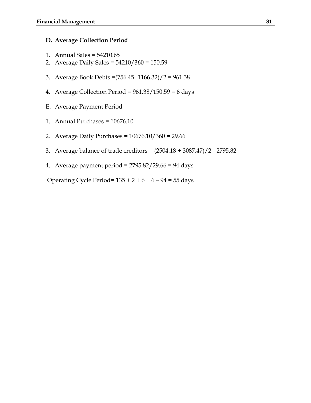### **D. Average Collection Period**

- 1. Annual Sales = 54210.65
- 2. Average Daily Sales = 54210/360 = 150.59
- 3. Average Book Debts =(756.45+1166.32)/2 = 961.38
- 4. Average Collection Period =  $961.38/150.59 = 6$  days
- E. Average Payment Period
- 1. Annual Purchases = 10676.10
- 2. Average Daily Purchases = 10676.10/360 = 29.66
- 3. Average balance of trade creditors = (2504.18 + 3087.47)/2= 2795.82
- 4. Average payment period = 2795.82/29.66 = 94 days

Operating Cycle Period=  $135 + 2 + 6 + 6 - 94 = 55$  days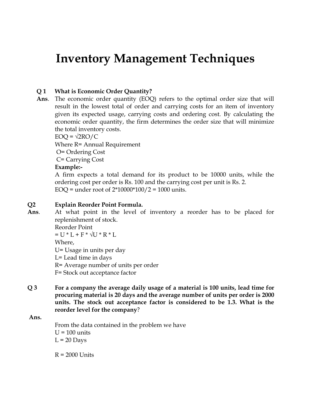## **Inventory Management Techniques**

### **Q 1 What is Economic Order Quantity?**

**Ans**. The economic order quantity (EOQ) refers to the optimal order size that will result in the lowest total of order and carrying costs for an item of inventory given its expected usage, carrying costs and ordering cost. By calculating the economic order quantity, the firm determines the order size that will minimize the total inventory costs.

 $EOQ = \sqrt{2RO/C}$ Where R= Annual Requirement O= Ordering Cost C= Carrying Cost

### **Example:-**

A firm expects a total demand for its product to be 10000 units, while the ordering cost per order is Rs. 100 and the carrying cost per unit is Rs. 2. EOQ = under root of  $2*10000*100/2 = 1000$  units.

### **Q2 Explain Reorder Point Formula.**

**Ans**. At what point in the level of inventory a reorder has to be placed for replenishment of stock.

> Reorder Point  $= U * L + F * \sqrt{U * R * L}$

Where,

U= Usage in units per day

L= Lead time in days

R= Average number of units per order

F= Stock out acceptance factor

**Q 3 For a company the average daily usage of a material is 100 units, lead time for procuring material is 20 days and the average number of units per order is 2000 units. The stock out acceptance factor is considered to be 1.3. What is the reorder level for the company**?

### **Ans.**

From the data contained in the problem we have  $U = 100$  units  $L = 20$  Days

 $R = 2000$  Units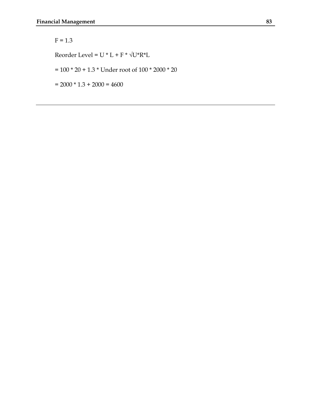## $F = 1.3$

Reorder Level = U \* L + F \*  $\sqrt{U^*R^*L}$ 

 $= 100 * 20 + 1.3 *$  Under root of 100  $^*$  2000  $^*$  20

 $= 2000 * 1.3 + 2000 = 4600$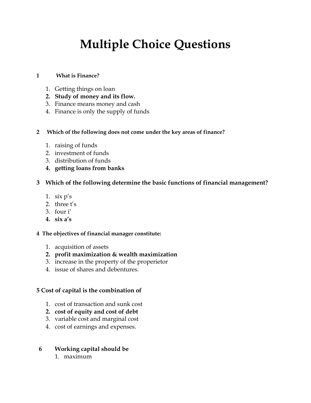# **Multiple Choice Questions**

### **1 What is Finance?**

- 1. Getting things on loan
- **2. Study of money and its flow.**
- 3. Finance means money and cash
- 4. Finance is only the supply of funds

### **2 Which of the following does not come under the key areas of finance?**

- 1. raising of funds
- 2. investment of funds
- 3. distribution of funds
- **4. getting loans from banks**

### **3 Which of the following determine the basic functions of financial management?**

- 1.  $\sin p's$
- 2. three  $t's$
- 3. four i'
- **4. six a's**

### **4 The objectives of financial manager constitute:**

- 1. acquisition of assets
- **2. profit maximization & wealth maximization**
- 3. increase in the property of the properietor
- 4. issue of shares and debentures.

### **5 Cost of capital is the combination of**

- 1. cost of transaction and sunk cost
- **2. cost of equity and cost of debt**
- 3. variable cost and marginal cost
- 4. cost of earnings and expenses.
- **6 Working capital should be**
	- 1. maximum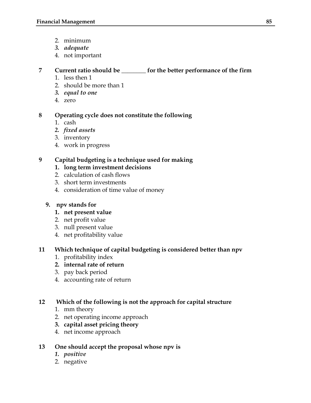- 2. minimum
- *3. adequate*
- 4. not important

## **7 Current ratio should be \_\_\_\_\_\_\_\_ for the better performance of the firm**

- 1. less then 1
- 2. should be more than 1
- *3. equal to one*
- 4. zero

## **8 Operating cycle does not constitute the following**

- 1. cash
- *2. fixed assets*
- 3. inventory
- 4. work in progress

## **9 Capital budgeting is a technique used for making**

- **1. long term investment decisions**
- 2. calculation of cash flows
- 3. short term investments
- 4. consideration of time value of money

## **9. npv stands for**

- **1. net present value**
- 2. net profit value
- 3. null present value
- 4. net profitability value

## **11 Which technique of capital budgeting is considered better than npv**

- 1. profitability index
- **2. internal rate of return**
- 3. pay back period
- 4. accounting rate of return

## **12 Which of the following is not the approach for capital structure**

- 1. mm theory
- 2. net operating income approach
- **3. capital asset pricing theory**
- 4. net income approach

## **13 One should accept the proposal whose npv is**

- *1. positive*
- 2. negative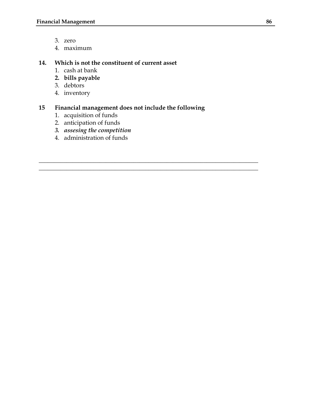- 3. zero
- 4. maximum

### **14. Which is not the constituent of current asset**

- 1. cash at bank
- **2. bills payable**
- 3. debtors
- 4. inventory

## **15 Financial management does not include the following**

 $\_$  , and the set of the set of the set of the set of the set of the set of the set of the set of the set of the set of the set of the set of the set of the set of the set of the set of the set of the set of the set of th  $\_$  , and the set of the set of the set of the set of the set of the set of the set of the set of the set of the set of the set of the set of the set of the set of the set of the set of the set of the set of the set of th

- 1. acquisition of funds
- 2. anticipation of funds
- *3. assesing the competition*
- 4. administration of funds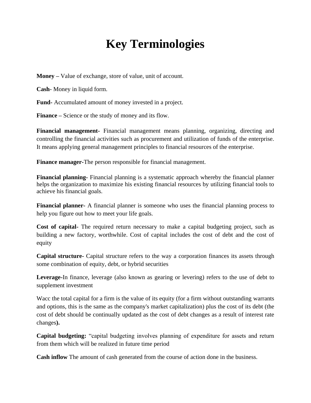# **Key Terminologies**

**Money –** Value of exchange, store of value, unit of account.

**Cash**- Money in liquid form.

**Fund-** Accumulated amount of money invested in a project.

**Finance –** Science or the study of money and its flow.

**Financial management-** Financial management means planning, organizing, directing and controlling the financial activities such as procurement and utilization of funds of the enterprise. It means applying general management principles to financial resources of the enterprise.

**Finance manager-**The person responsible for financial management.

**Financial planning-** Financial planning is a systematic approach whereby the financial planner helps the organization to maximize his existing financial resources by utilizing financial tools to achieve his financial goals.

**Financial planner-** A financial planner is someone who uses the financial planning process to help you figure out how to meet your life goals.

**Cost of capital-** The required return necessary to make a capital budgeting project, such as building a new factory, worthwhile. Cost of capital includes the cost of debt and the cost of equity

**Capital structure-** Capital structure refers to the way a [corporation](http://en.wikipedia.org/wiki/Corporation) finances its [assets](http://en.wikipedia.org/wiki/Assets) through some combination of [equity,](http://en.wikipedia.org/wiki/Stock) [debt,](http://en.wikipedia.org/wiki/Debt) or [hybrid securities](http://en.wikipedia.org/wiki/Hybrid_security)

**Leverage-**In [finance,](http://en.wikipedia.org/wiki/Finance) leverage (also known as gearing or levering) refers to the use of [debt](http://en.wikipedia.org/wiki/Debt) to supplement investment

Wacc the total capital for a firm is the value of its equity (for a firm without outstanding [warrants](http://en.wikipedia.org/wiki/Warrant_(finance)) and [options,](http://en.wikipedia.org/wiki/Option_(finance)) this is the same as the company's [market capitalization\)](http://en.wikipedia.org/wiki/Market_capitalization) plus the cost of its debt (the cost of debt should be continually updated as the cost of debt changes as a result of interest rate changes**).**

**Capital budgeting:** "capital budgeting involves planning of expenditure for assets and return from them which will be realized in future time period

**Cash inflow** The amount of cash generated from the course of action done in the business.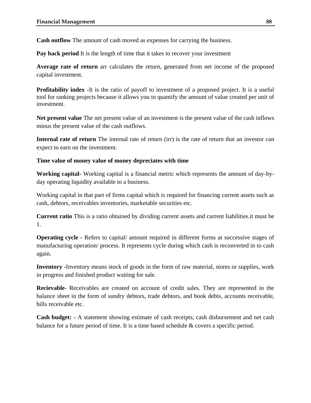**Cash outflow** The amount of cash moved as expenses for carrying the business.

**Pay back period** It is the length of time that it takes to recover your investment

**Average rate of return** arr calculates the return, generated from net income of the proposed capital investment.

**Profitability index -**It is the ratio of payoff to investment of a proposed project. It is a useful tool for ranking projects because it allows you to quantify the amount of value created per unit of investment.

**Net present value** The net present value of an investment is the present value of the cash inflows minus the present value of the cash outflows.

**Internal rate of return** The internal rate of return (irr) is the rate of return that an investor can expect to earn on the investment.

### **Time value of money value of money depreciates with time**

**Working capital-** Working capital is a financial metric which represents the amount of day-byday operating liquidity available to a business.

Working capital in that part of firms capital which is required for financing current assets such as cash, debtors, receivables inventories, marketable securities etc.

**Current ratio** This is a ratio obtained by dividing current assets and current liabilities.it must be 1.

**Operating cycle -** Refers to capital/ amount required in different forms at successive stages of manufacturing operation/ process. It represents cycle during which cash is reconverted in to cash again.

**Inventory -**Inventory means stock of goods in the form of raw material, stores or supplies, work in progress and finished product waiting for sale.

**Recievable-** Receivables are created on account of credit sales. They are represented in the balance sheet in the form of sundry debtors, trade debtors, and book debts, accounts receivable, bills receivable etc.

**Cash budget: -** A statement showing estimate of cash receipts, cash disbursement and net cash balance for a future period of time. It is a time based schedule & covers a specific period.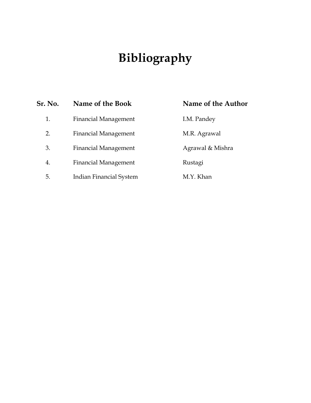# **Bibliography**

| Sr. No. | Name of the Book            | Name of the Author |
|---------|-----------------------------|--------------------|
| 1.      | <b>Financial Management</b> | I.M. Pandey        |
| 2.      | <b>Financial Management</b> | M.R. Agrawal       |
| 3.      | <b>Financial Management</b> | Agrawal & Mishra   |
| 4.      | <b>Financial Management</b> | Rustagi            |
| 5.      | Indian Financial System     | M.Y. Khan          |
|         |                             |                    |